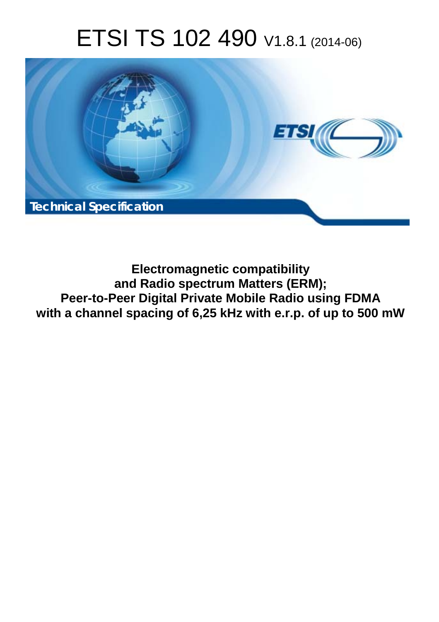# ETSI TS 102 490 V1.8.1 (2014-06)



**Electromagnetic compatibility and Radio spectrum Matters (ERM); Peer-to-Peer Digital Private Mobile Radio using FDMA with a channel spacing of 6,25 kHz with e.r.p. of up to 500 mW**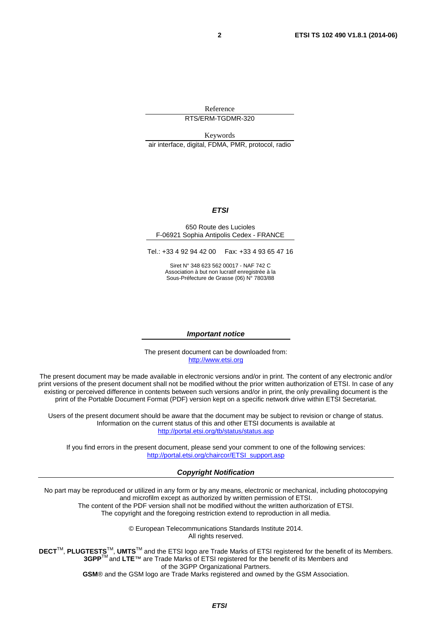Reference RTS/ERM-TGDMR-320

Keywords air interface, digital, FDMA, PMR, protocol, radio

#### *ETSI*

#### 650 Route des Lucioles F-06921 Sophia Antipolis Cedex - FRANCE

Tel.: +33 4 92 94 42 00 Fax: +33 4 93 65 47 16

Siret N° 348 623 562 00017 - NAF 742 C Association à but non lucratif enregistrée à la Sous-Préfecture de Grasse (06) N° 7803/88

#### *Important notice*

The present document can be downloaded from: [http://www.etsi.org](http://www.etsi.org/)

The present document may be made available in electronic versions and/or in print. The content of any electronic and/or print versions of the present document shall not be modified without the prior written authorization of ETSI. In case of any existing or perceived difference in contents between such versions and/or in print, the only prevailing document is the print of the Portable Document Format (PDF) version kept on a specific network drive within ETSI Secretariat.

Users of the present document should be aware that the document may be subject to revision or change of status. Information on the current status of this and other ETSI documents is available at <http://portal.etsi.org/tb/status/status.asp>

If you find errors in the present document, please send your comment to one of the following services: [http://portal.etsi.org/chaircor/ETSI\\_support.asp](http://portal.etsi.org/chaircor/ETSI_support.asp)

#### *Copyright Notification*

No part may be reproduced or utilized in any form or by any means, electronic or mechanical, including photocopying and microfilm except as authorized by written permission of ETSI.

The content of the PDF version shall not be modified without the written authorization of ETSI. The copyright and the foregoing restriction extend to reproduction in all media.

> © European Telecommunications Standards Institute 2014. All rights reserved.

**DECT**TM, **PLUGTESTS**TM, **UMTS**TM and the ETSI logo are Trade Marks of ETSI registered for the benefit of its Members. **3GPP**TM and **LTE**™ are Trade Marks of ETSI registered for the benefit of its Members and of the 3GPP Organizational Partners.

**GSM**® and the GSM logo are Trade Marks registered and owned by the GSM Association.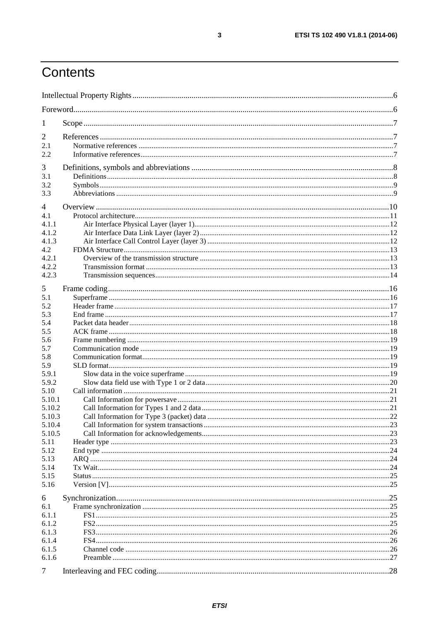## Contents

| 1                |  |
|------------------|--|
| 2                |  |
| 2.1              |  |
| 2.2              |  |
|                  |  |
| 3                |  |
| 3.1              |  |
| 3.2              |  |
| 3.3              |  |
| $\overline{4}$   |  |
| 4.1              |  |
| 4.1.1            |  |
| 4.1.2            |  |
| 4.1.3            |  |
| 4.2              |  |
| 4.2.1            |  |
| 4.2.2            |  |
| 4.2.3            |  |
| 5                |  |
| 5.1              |  |
| 5.2              |  |
| 5.3              |  |
| 5.4              |  |
| 5.5              |  |
| 5.6              |  |
| 5.7              |  |
| 5.8              |  |
| 5.9              |  |
| 5.9.1            |  |
| 5.9.2            |  |
| 5.10             |  |
| 5.10.1<br>5.10.2 |  |
| 5.10.3           |  |
| 5.10.4           |  |
| 5.10.5           |  |
| 5.11             |  |
| 5.12             |  |
| 5.13             |  |
| 5.14             |  |
| 5.15             |  |
| 5.16             |  |
| 6                |  |
| 6.1              |  |
| 6.1.1            |  |
| 6.1.2            |  |
| 6.1.3            |  |
| 6.1.4            |  |
| 6.1.5            |  |
| 6.1.6            |  |
|                  |  |
| 7                |  |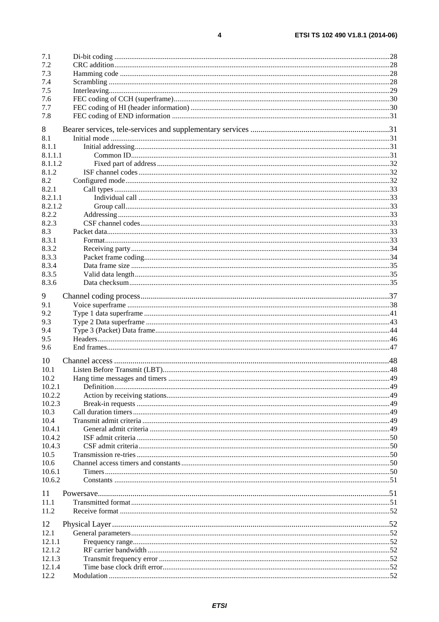$\overline{\mathbf{4}}$ 

| 7.1              |  |
|------------------|--|
| 7.2              |  |
| 7.3              |  |
| 7.4              |  |
| 7.5              |  |
| 7.6              |  |
| 7.7              |  |
| 7.8              |  |
| 8                |  |
| 8.1              |  |
| 8.1.1            |  |
|                  |  |
| 8.1.1.1          |  |
| 8.1.1.2          |  |
| 8.1.2            |  |
| 8.2              |  |
| 8.2.1            |  |
| 8.2.1.1          |  |
| 8.2.1.2<br>8.2.2 |  |
|                  |  |
| 8.2.3            |  |
| 8.3              |  |
| 8.3.1            |  |
| 8.3.2            |  |
| 8.3.3            |  |
| 8.3.4            |  |
| 8.3.5            |  |
| 8.3.6            |  |
| 9                |  |
| 9.1              |  |
| 9.2              |  |
| 9.3              |  |
| 9.4              |  |
| 9.5              |  |
| 9.6              |  |
|                  |  |
| 10               |  |
| 10.1             |  |
| 10.2             |  |
| 10.2.1           |  |
| 10.2.2           |  |
| 10.2.3           |  |
| 10.3             |  |
| 10.4             |  |
| 10.4.1           |  |
| 10.4.2           |  |
| 10.4.3           |  |
| 10.5             |  |
| 10.6             |  |
| 10.6.1           |  |
| 10.6.2           |  |
| 11               |  |
| 11.1             |  |
| 11.2             |  |
|                  |  |
| 12               |  |
| 12.1             |  |
| 12.1.1           |  |
| 12.1.2           |  |
| 12.1.3           |  |
| 12.1.4           |  |
| 12.2             |  |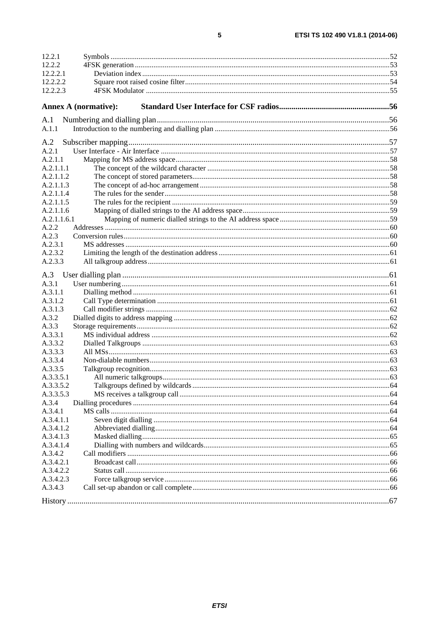| 12.2.1                      |  |
|-----------------------------|--|
| 12.2.2                      |  |
| 12.2.2.1                    |  |
| 12.2.2.2                    |  |
| 12.2.2.3                    |  |
| <b>Annex A (normative):</b> |  |
|                             |  |
| A.1                         |  |
| A.1.1                       |  |
| A.2                         |  |
| A.2.1                       |  |
| A.2.1.1                     |  |
| A.2.1.1.1                   |  |
| A.2.1.1.2                   |  |
| A.2.1.1.3                   |  |
| A.2.1.1.4                   |  |
| A.2.1.1.5                   |  |
| A.2.1.1.6                   |  |
| A.2.1.1.6.1                 |  |
| A.2.2                       |  |
| A.2.3                       |  |
| A.2.3.1                     |  |
| A.2.3.2                     |  |
| A.2.3.3                     |  |
| A.3                         |  |
| A.3.1                       |  |
| A.3.1.1                     |  |
| A.3.1.2                     |  |
| A.3.1.3                     |  |
| A.3.2                       |  |
| A.3.3                       |  |
| A.3.3.1                     |  |
| A.3.3.2                     |  |
| A.3.3.3                     |  |
| A.3.3.4                     |  |
| A.3.3.5                     |  |
| A.3.3.5.1                   |  |
| A.3.3.5.2                   |  |
| A.3.3.5.3                   |  |
| A.3.4                       |  |
| A.3.4.1                     |  |
| A.3.4.1.1                   |  |
| A.3.4.1.2                   |  |
| A.3.4.1.3                   |  |
| A.3.4.1.4                   |  |
| A.3.4.2                     |  |
| A.3.4.2.1                   |  |
| A.3.4.2.2                   |  |
| A.3.4.2.3                   |  |
| A.3.4.3                     |  |
|                             |  |
|                             |  |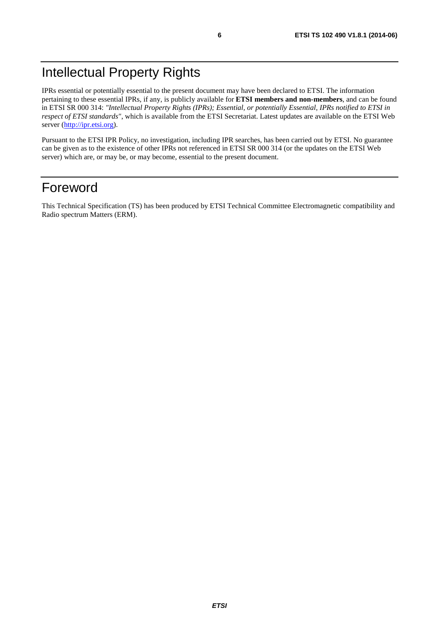<span id="page-5-0"></span>IPRs essential or potentially essential to the present document may have been declared to ETSI. The information pertaining to these essential IPRs, if any, is publicly available for **ETSI members and non-members**, and can be found in ETSI SR 000 314: *"Intellectual Property Rights (IPRs); Essential, or potentially Essential, IPRs notified to ETSI in respect of ETSI standards"*, which is available from the ETSI Secretariat. Latest updates are available on the ETSI Web server ([http://ipr.etsi.org\)](http://webapp.etsi.org/IPR/home.asp).

Pursuant to the ETSI IPR Policy, no investigation, including IPR searches, has been carried out by ETSI. No guarantee can be given as to the existence of other IPRs not referenced in ETSI SR 000 314 (or the updates on the ETSI Web server) which are, or may be, or may become, essential to the present document.

## Foreword

This Technical Specification (TS) has been produced by ETSI Technical Committee Electromagnetic compatibility and Radio spectrum Matters (ERM).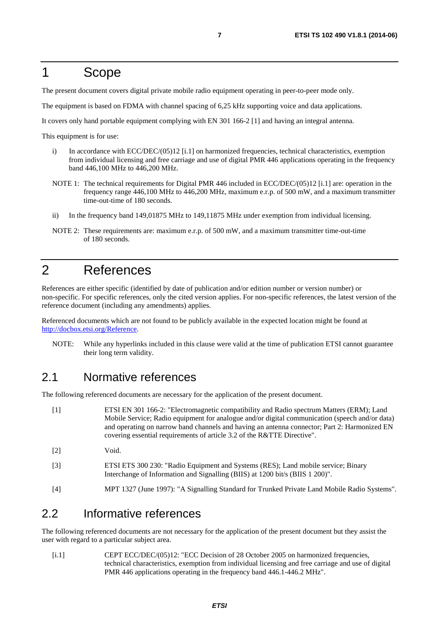## <span id="page-6-0"></span>1 Scope

The present document covers digital private mobile radio equipment operating in peer-to-peer mode only.

The equipment is based on FDMA with channel spacing of 6,25 kHz supporting voice and data applications.

It covers only hand portable equipment complying with EN 301 166-2 [1] and having an integral antenna.

This equipment is for use:

- i) In accordance with ECC/DEC/(05)12 [i.1] on harmonized frequencies, technical characteristics, exemption from individual licensing and free carriage and use of digital PMR 446 applications operating in the frequency band 446,100 MHz to 446,200 MHz.
- NOTE 1: The technical requirements for Digital PMR 446 included in ECC/DEC/(05)12 [i.1] are: operation in the frequency range 446,100 MHz to 446,200 MHz, maximum e.r.p. of 500 mW, and a maximum transmitter time-out-time of 180 seconds.
- ii) In the frequency band 149,01875 MHz to 149,11875 MHz under exemption from individual licensing.
- NOTE 2: These requirements are: maximum e.r.p. of 500 mW, and a maximum transmitter time-out-time of 180 seconds.

## 2 References

References are either specific (identified by date of publication and/or edition number or version number) or non-specific. For specific references, only the cited version applies. For non-specific references, the latest version of the reference document (including any amendments) applies.

Referenced documents which are not found to be publicly available in the expected location might be found at [http://docbox.etsi.org/Reference.](http://docbox.etsi.org/Reference)

NOTE: While any hyperlinks included in this clause were valid at the time of publication ETSI cannot guarantee their long term validity.

## 2.1 Normative references

The following referenced documents are necessary for the application of the present document.

| $\lceil 1 \rceil$ | ETSI EN 301 166-2: "Electromagnetic compatibility and Radio spectrum Matters (ERM); Land<br>Mobile Service; Radio equipment for analogue and/or digital communication (speech and/or data)<br>and operating on narrow band channels and having an antenna connector; Part 2: Harmonized EN<br>covering essential requirements of article 3.2 of the R&TTE Directive". |
|-------------------|-----------------------------------------------------------------------------------------------------------------------------------------------------------------------------------------------------------------------------------------------------------------------------------------------------------------------------------------------------------------------|
| $\lceil 2 \rceil$ | Void.                                                                                                                                                                                                                                                                                                                                                                 |
| $\lceil 3 \rceil$ | ETSI ETS 300 230: "Radio Equipment and Systems (RES); Land mobile service; Binary<br>Interchange of Information and Signalling (BIIS) at 1200 bit/s (BIIS 1 200)".                                                                                                                                                                                                    |

### [4] MPT 1327 (June 1997): "A Signalling Standard for Trunked Private Land Mobile Radio Systems".

## 2.2 Informative references

The following referenced documents are not necessary for the application of the present document but they assist the user with regard to a particular subject area.

[i.1] CEPT ECC/DEC/(05)12: "ECC Decision of 28 October 2005 on harmonized frequencies, technical characteristics, exemption from individual licensing and free carriage and use of digital PMR 446 applications operating in the frequency band 446.1-446.2 MHz".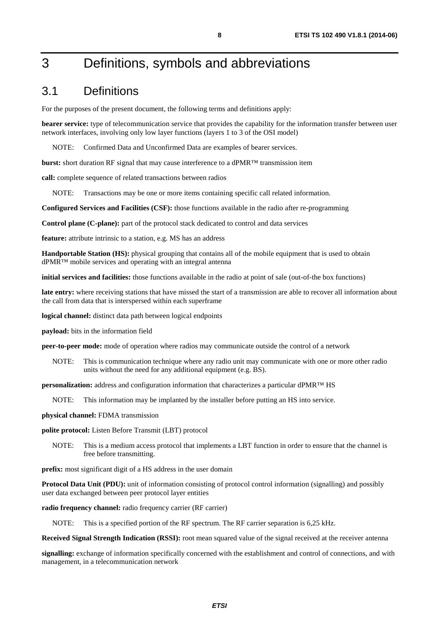## <span id="page-7-0"></span>3 Definitions, symbols and abbreviations

### 3.1 Definitions

For the purposes of the present document, the following terms and definitions apply:

**bearer service:** type of telecommunication service that provides the capability for the information transfer between user network interfaces, involving only low layer functions (layers 1 to 3 of the OSI model)

NOTE: Confirmed Data and Unconfirmed Data are examples of bearer services.

**burst:** short duration RF signal that may cause interference to a dPMR™ transmission item

**call:** complete sequence of related transactions between radios

NOTE: Transactions may be one or more items containing specific call related information.

**Configured Services and Facilities (CSF):** those functions available in the radio after re-programming

**Control plane (C-plane):** part of the protocol stack dedicated to control and data services

**feature:** attribute intrinsic to a station, e.g. MS has an address

**Handportable Station (HS):** physical grouping that contains all of the mobile equipment that is used to obtain dPMR™ mobile services and operating with an integral antenna

**initial services and facilities:** those functions available in the radio at point of sale (out-of-the box functions)

**late entry:** where receiving stations that have missed the start of a transmission are able to recover all information about the call from data that is interspersed within each superframe

**logical channel:** distinct data path between logical endpoints

**payload:** bits in the information field

**peer-to-peer mode:** mode of operation where radios may communicate outside the control of a network

NOTE: This is communication technique where any radio unit may communicate with one or more other radio units without the need for any additional equipment (e.g. BS).

**personalization:** address and configuration information that characterizes a particular dPMR™ HS

NOTE: This information may be implanted by the installer before putting an HS into service.

**physical channel:** FDMA transmission

**polite protocol:** Listen Before Transmit (LBT) protocol

NOTE: This is a medium access protocol that implements a LBT function in order to ensure that the channel is free before transmitting.

**prefix:** most significant digit of a HS address in the user domain

**Protocol Data Unit (PDU):** unit of information consisting of protocol control information (signalling) and possibly user data exchanged between peer protocol layer entities

**radio frequency channel:** radio frequency carrier (RF carrier)

NOTE: This is a specified portion of the RF spectrum. The RF carrier separation is 6,25 kHz.

**Received Signal Strength Indication (RSSI):** root mean squared value of the signal received at the receiver antenna

**signalling:** exchange of information specifically concerned with the establishment and control of connections, and with management, in a telecommunication network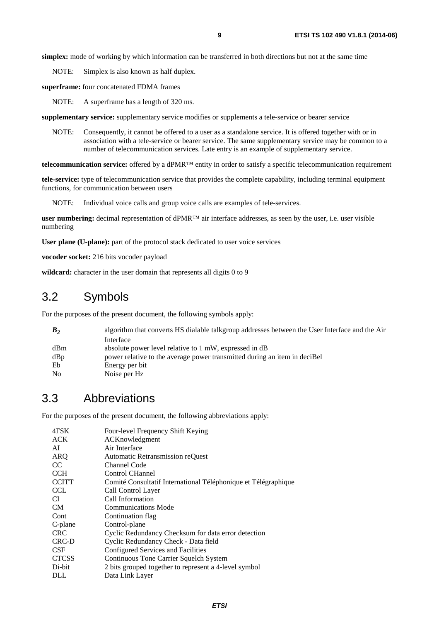<span id="page-8-0"></span>**simplex:** mode of working by which information can be transferred in both directions but not at the same time

NOTE: Simplex is also known as half duplex.

**superframe:** four concatenated FDMA frames

NOTE: A superframe has a length of 320 ms.

**supplementary service:** supplementary service modifies or supplements a tele-service or bearer service

NOTE: Consequently, it cannot be offered to a user as a standalone service. It is offered together with or in association with a tele-service or bearer service. The same supplementary service may be common to a number of telecommunication services. Late entry is an example of supplementary service.

**telecommunication service:** offered by a dPMR™ entity in order to satisfy a specific telecommunication requirement

**tele-service:** type of telecommunication service that provides the complete capability, including terminal equipment functions, for communication between users

NOTE: Individual voice calls and group voice calls are examples of tele-services.

**user numbering:** decimal representation of dPMR™ air interface addresses, as seen by the user, i.e. user visible numbering

User plane (U-plane): part of the protocol stack dedicated to user voice services

**vocoder socket:** 216 bits vocoder payload

wildcard: character in the user domain that represents all digits 0 to 9

## 3.2 Symbols

For the purposes of the present document, the following symbols apply:

| B <sub>2</sub> | algorithm that converts HS dialable talkgroup addresses between the User Interface and the Air |
|----------------|------------------------------------------------------------------------------------------------|
|                | Interface                                                                                      |
| dBm            | absolute power level relative to 1 mW, expressed in dB                                         |
| dBp            | power relative to the average power transmitted during an item in deciBel                      |
| Eb             | Energy per bit                                                                                 |
| N <sub>0</sub> | Noise per Hz                                                                                   |

## 3.3 Abbreviations

For the purposes of the present document, the following abbreviations apply:

| 4FSK         | Four-level Frequency Shift Keying                              |
|--------------|----------------------------------------------------------------|
| <b>ACK</b>   | ACKnowledgment                                                 |
| AI           | Air Interface                                                  |
| <b>ARQ</b>   | Automatic Retransmission reQuest                               |
| CC           | Channel Code                                                   |
| <b>CCH</b>   | Control CHannel                                                |
| <b>CCITT</b> | Comité Consultatif International Téléphonique et Télégraphique |
| <b>CCL</b>   | Call Control Layer                                             |
| CI           | Call Information                                               |
| CM           | <b>Communications Mode</b>                                     |
| Cont         | Continuation flag                                              |
| C-plane      | Control-plane                                                  |
| <b>CRC</b>   | Cyclic Redundancy Checksum for data error detection            |
| CRC-D        | Cyclic Redundancy Check - Data field                           |
| <b>CSF</b>   | Configured Services and Facilities                             |
| <b>CTCSS</b> | Continuous Tone Carrier Squelch System                         |
| Di-bit       | 2 bits grouped together to represent a 4-level symbol          |
| DLL          | Data Link Layer                                                |
|              |                                                                |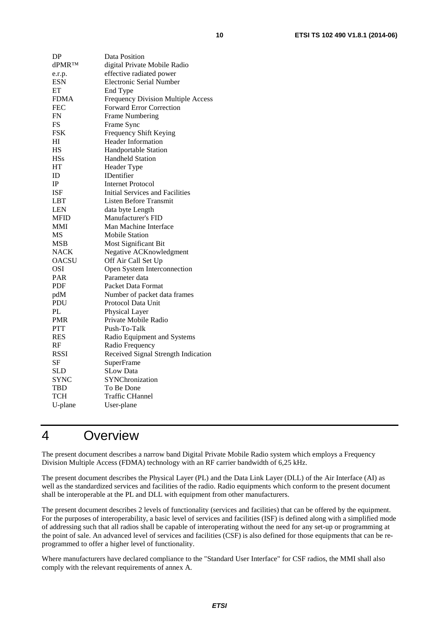<span id="page-9-0"></span>

| DP            | Data Position                             |
|---------------|-------------------------------------------|
| <b>dPMRTM</b> | digital Private Mobile Radio              |
| e.r.p.        | effective radiated power                  |
| <b>ESN</b>    | <b>Electronic Serial Number</b>           |
| ET            | End Type                                  |
| <b>FDMA</b>   | <b>Frequency Division Multiple Access</b> |
| FEC           | <b>Forward Error Correction</b>           |
| <b>FN</b>     | <b>Frame Numbering</b>                    |
| <b>FS</b>     | Frame Sync                                |
| <b>FSK</b>    | Frequency Shift Keying                    |
| HI            | Header Information                        |
| <b>HS</b>     | <b>Handportable Station</b>               |
| <b>HSs</b>    | <b>Handheld Station</b>                   |
| HT            | Header Type                               |
| ID            | <b>IDentifier</b>                         |
| IP            | <b>Internet Protocol</b>                  |
| ISF           | Initial Services and Facilities           |
| <b>LBT</b>    | Listen Before Transmit                    |
| <b>LEN</b>    | data byte Length                          |
| <b>MFID</b>   | Manufacturer's FID                        |
| MMI           | Man Machine Interface                     |
| MS            | <b>Mobile Station</b>                     |
| MSB           | Most Significant Bit                      |
| <b>NACK</b>   | Negative ACKnowledgment                   |
| OACSU         | Off Air Call Set Up                       |
| OSI           | Open System Interconnection               |
| PAR           | Parameter data                            |
| <b>PDF</b>    | Packet Data Format                        |
| pdM           | Number of packet data frames              |
| PDU           | Protocol Data Unit                        |
| PL            | Physical Layer                            |
| PMR           | Private Mobile Radio                      |
| <b>PTT</b>    | Push-To-Talk                              |
| <b>RES</b>    | Radio Equipment and Systems               |
| RF            | Radio Frequency                           |
| RSSI          | Received Signal Strength Indication       |
| SF            | SuperFrame                                |
| <b>SLD</b>    | <b>SLow Data</b>                          |
| <b>SYNC</b>   | <b>SYNChronization</b>                    |
| TBD           | To Be Done                                |
| <b>TCH</b>    | <b>Traffic CHannel</b>                    |
| U-plane       | User-plane                                |

## 4 Overview

The present document describes a narrow band Digital Private Mobile Radio system which employs a Frequency Division Multiple Access (FDMA) technology with an RF carrier bandwidth of 6,25 kHz.

The present document describes the Physical Layer (PL) and the Data Link Layer (DLL) of the Air Interface (AI) as well as the standardized services and facilities of the radio. Radio equipments which conform to the present document shall be interoperable at the PL and DLL with equipment from other manufacturers.

The present document describes 2 levels of functionality (services and facilities) that can be offered by the equipment. For the purposes of interoperability, a basic level of services and facilities (ISF) is defined along with a simplified mode of addressing such that all radios shall be capable of interoperating without the need for any set-up or programming at the point of sale. An advanced level of services and facilities (CSF) is also defined for those equipments that can be reprogrammed to offer a higher level of functionality.

Where manufacturers have declared compliance to the "Standard User Interface" for CSF radios, the MMI shall also comply with the relevant requirements of annex A.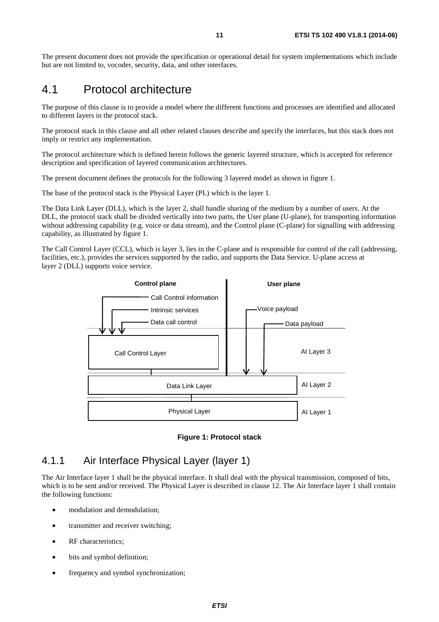<span id="page-10-0"></span>The present document does not provide the specification or operational detail for system implementations which include but are not limited to, vocoder, security, data, and other interfaces.

## 4.1 Protocol architecture

The purpose of this clause is to provide a model where the different functions and processes are identified and allocated to different layers in the protocol stack.

The protocol stack in this clause and all other related clauses describe and specify the interfaces, but this stack does not imply or restrict any implementation.

The protocol architecture which is defined herein follows the generic layered structure, which is accepted for reference description and specification of layered communication architectures.

The present document defines the protocols for the following 3 layered model as shown in figure 1.

The base of the protocol stack is the Physical Layer (PL) which is the layer 1.

The Data Link Layer (DLL), which is the layer 2, shall handle sharing of the medium by a number of users. At the DLL, the protocol stack shall be divided vertically into two parts, the User plane (U-plane), for transporting information without addressing capability (e.g. voice or data stream), and the Control plane (C-plane) for signalling with addressing capability, as illustrated by figure 1.

The Call Control Layer (CCL), which is layer 3, lies in the C-plane and is responsible for control of the call (addressing, facilities, etc.), provides the services supported by the radio, and supports the Data Service. U-plane access at layer 2 (DLL) supports voice service.





### 4.1.1 Air Interface Physical Layer (layer 1)

The Air Interface layer 1 shall be the physical interface. It shall deal with the physical transmission, composed of bits, which is to be sent and/or received. The Physical Layer is described in clause 12. The Air Interface layer 1 shall contain the following functions:

- modulation and demodulation;
- transmitter and receiver switching;
- RF characteristics;
- bits and symbol definition;
- frequency and symbol synchronization;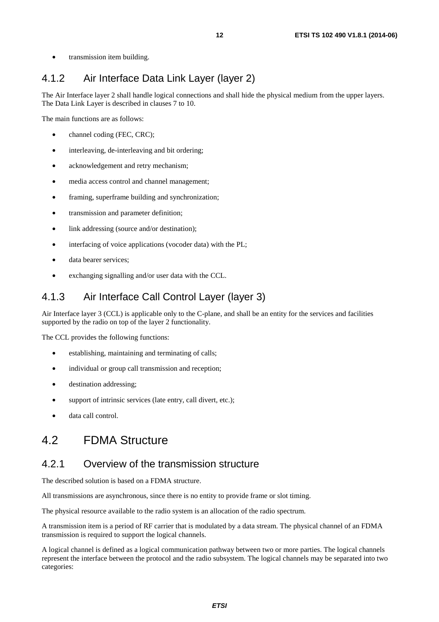<span id="page-11-0"></span>• transmission item building.

## 4.1.2 Air Interface Data Link Layer (layer 2)

The Air Interface layer 2 shall handle logical connections and shall hide the physical medium from the upper layers. The Data Link Layer is described in clauses 7 to 10.

The main functions are as follows:

- channel coding (FEC, CRC);
- interleaving, de-interleaving and bit ordering;
- acknowledgement and retry mechanism;
- media access control and channel management;
- framing, superframe building and synchronization;
- transmission and parameter definition;
- link addressing (source and/or destination);
- interfacing of voice applications (vocoder data) with the PL;
- data bearer services;
- exchanging signalling and/or user data with the CCL.

### 4.1.3 Air Interface Call Control Layer (layer 3)

Air Interface layer 3 (CCL) is applicable only to the C-plane, and shall be an entity for the services and facilities supported by the radio on top of the layer 2 functionality.

The CCL provides the following functions:

- establishing, maintaining and terminating of calls;
- individual or group call transmission and reception;
- destination addressing;
- support of intrinsic services (late entry, call divert, etc.);
- data call control.

## 4.2 FDMA Structure

### 4.2.1 Overview of the transmission structure

The described solution is based on a FDMA structure.

All transmissions are asynchronous, since there is no entity to provide frame or slot timing.

The physical resource available to the radio system is an allocation of the radio spectrum.

A transmission item is a period of RF carrier that is modulated by a data stream. The physical channel of an FDMA transmission is required to support the logical channels.

A logical channel is defined as a logical communication pathway between two or more parties. The logical channels represent the interface between the protocol and the radio subsystem. The logical channels may be separated into two categories: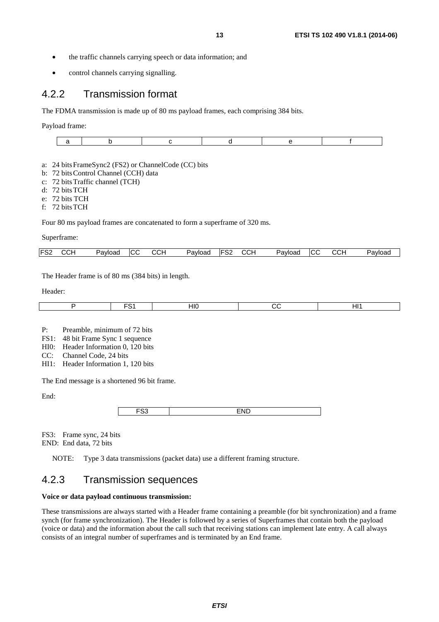- <span id="page-12-0"></span>• the traffic channels carrying speech or data information; and
- control channels carrying signalling.

### 4.2.2 Transmission format

The FDMA transmission is made up of 80 ms payload frames, each comprising 384 bits.

Payload frame:

- a: 24 bits FrameSync2 (FS2) or ChannelCode (CC) bits
- b: 72 bits Control Channel (CCH) data
- c: 72 bits Traffic channel (TCH)
- d: 72 bits TCH
- e: 72 bits TCH
- f: 72 bits TCH

Four 80 ms payload frames are concatenated to form a superframe of 320 ms.

Superframe:

| ロミク<br>$-00$<br>$\sim$<br>$\sim$ $\sim$ $\sim$<br>`<br>◝┕<br>ICC<br>⊩<br>Pavload<br>Pavload<br>$\overline{1}$<br>avload<br>. זטט<br>ےت<br>וטט<br>ے ت | יש | $\sim$<br>∼<br>ושט | Pavloac |
|------------------------------------------------------------------------------------------------------------------------------------------------------|----|--------------------|---------|
|------------------------------------------------------------------------------------------------------------------------------------------------------|----|--------------------|---------|

The Header frame is of 80 ms (384 bits) in length.

Header:

|  | ΉК |  |
|--|----|--|
|  |    |  |

P: Preamble, minimum of 72 bits

FS1: 48 bit Frame Sync 1 sequence

- HI0: Header Information 0, 120 bits
- CC: Channel Code, 24 bits

HI1: Header Information 1, 120 bits

The End message is a shortened 96 bit frame.

End:

| . . |
|-----|

FS3: Frame sync, 24 bits END: End data, 72 bits

NOTE: Type 3 data transmissions (packet data) use a different framing structure.

### 4.2.3 Transmission sequences

#### **Voice or data payload continuous transmission:**

These transmissions are always started with a Header frame containing a preamble (for bit synchronization) and a frame synch (for frame synchronization). The Header is followed by a series of Superframes that contain both the payload (voice or data) and the information about the call such that receiving stations can implement late entry. A call always consists of an integral number of superframes and is terminated by an End frame.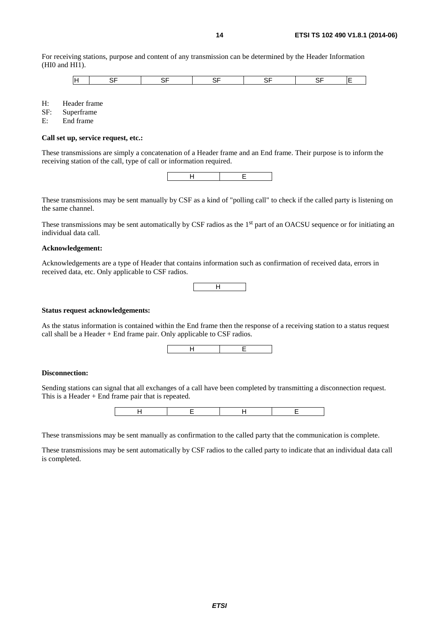For receiving stations, purpose and content of any transmission can be determined by the Header Information (HI0 and HI1).

|--|--|--|--|--|--|--|

H: Header frame

SF: Superframe<br>E: End frame

End frame

#### **Call set up, service request, etc.:**

These transmissions are simply a concatenation of a Header frame and an End frame. Their purpose is to inform the receiving station of the call, type of call or information required.



These transmissions may be sent manually by CSF as a kind of "polling call" to check if the called party is listening on the same channel.

These transmissions may be sent automatically by CSF radios as the 1<sup>st</sup> part of an OACSU sequence or for initiating an individual data call.

#### **Acknowledgement:**

Acknowledgements are a type of Header that contains information such as confirmation of received data, errors in received data, etc. Only applicable to CSF radios.

|--|--|

#### **Status request acknowledgements:**

As the status information is contained within the End frame then the response of a receiving station to a status request call shall be a Header + End frame pair. Only applicable to CSF radios.



#### **Disconnection:**

Sending stations can signal that all exchanges of a call have been completed by transmitting a disconnection request. This is a Header + End frame pair that is repeated.

H <u>E H | E</u>

These transmissions may be sent manually as confirmation to the called party that the communication is complete.

These transmissions may be sent automatically by CSF radios to the called party to indicate that an individual data call is completed.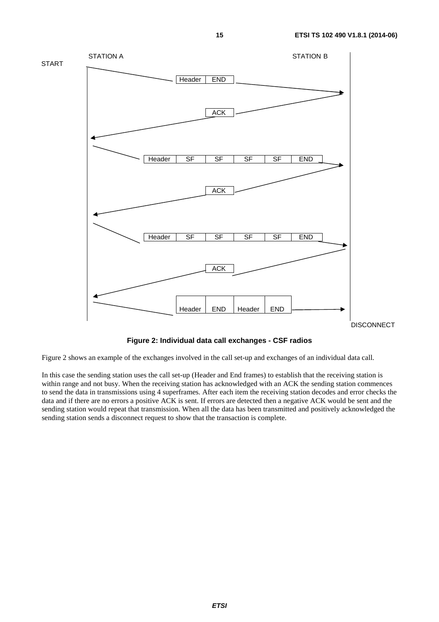

**Figure 2: Individual data call exchanges - CSF radios** 

Figure 2 shows an example of the exchanges involved in the call set-up and exchanges of an individual data call.

In this case the sending station uses the call set-up (Header and End frames) to establish that the receiving station is within range and not busy. When the receiving station has acknowledged with an ACK the sending station commences to send the data in transmissions using 4 superframes. After each item the receiving station decodes and error checks the data and if there are no errors a positive ACK is sent. If errors are detected then a negative ACK would be sent and the sending station would repeat that transmission. When all the data has been transmitted and positively acknowledged the sending station sends a disconnect request to show that the transaction is complete.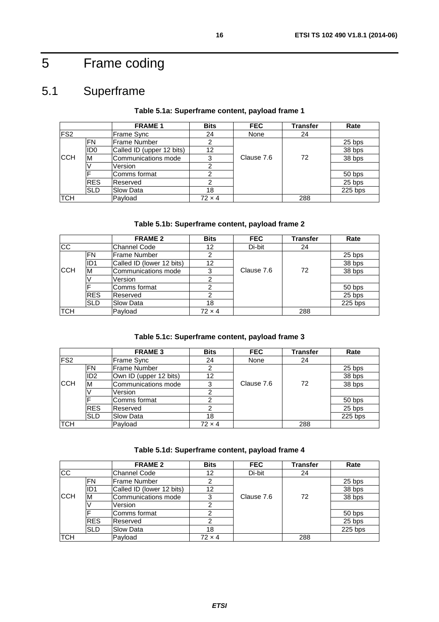## <span id="page-15-0"></span>5 Frame coding

## 5.1 Superframe

### **Table 5.1a: Superframe content, payload frame 1**

|                 |                 | <b>FRAME 1</b>            | <b>Bits</b>   | <b>FEC</b> | <b>Transfer</b> | Rate      |
|-----------------|-----------------|---------------------------|---------------|------------|-----------------|-----------|
| FS <sub>2</sub> |                 | Frame Sync                | 24            | None       | 24              |           |
|                 | <b>FN</b>       | <b>Frame Number</b>       |               |            |                 | 25 bps    |
|                 | ID <sub>0</sub> | Called ID (upper 12 bits) | 12            |            |                 | 38 bps    |
| <b>CCH</b>      | M               | Communications mode       | 3             | Clause 7.6 | 72              | 38 bps    |
|                 |                 | Version                   | っ             |            |                 |           |
|                 | F               | Comms format              |               |            |                 | 50 bps    |
|                 | <b>RES</b>      | Reserved                  |               |            |                 | 25 bps    |
|                 | <b>SLD</b>      | Slow Data                 | 18            |            |                 | $225$ bps |
| <b>TCH</b>      |                 | Payload                   | $72 \times 4$ |            | 288             |           |

### **Table 5.1b: Superframe content, payload frame 2**

|                 |                 | <b>FRAME 2</b>            | <b>Bits</b>   | <b>FEC</b> | <b>Transfer</b> | Rate      |
|-----------------|-----------------|---------------------------|---------------|------------|-----------------|-----------|
| $\overline{cc}$ |                 | <b>Channel Code</b>       | 12            | Di-bit     | 24              |           |
|                 | <b>FN</b>       | <b>Frame Number</b>       |               |            |                 | 25 bps    |
|                 | ID <sub>1</sub> | Called ID (lower 12 bits) | 12            |            |                 | 38 bps    |
| <b>CCH</b>      | M               | Communications mode       | 2             | Clause 7.6 | 72              | 38 bps    |
|                 |                 | Version                   | າ             |            |                 |           |
|                 |                 | Comms format              |               |            |                 | 50 bps    |
|                 | <b>RES</b>      | Reserved                  |               |            |                 | 25 bps    |
|                 | <b>SLD</b>      | Slow Data                 | 18            |            |                 | $225$ bps |
| <b>TCH</b>      |                 | Payload                   | $72 \times 4$ |            | 288             |           |

### **Table 5.1c: Superframe content, payload frame 3**

|                 |                 | <b>FRAME 3</b>         | <b>Bits</b>   | <b>FEC</b> | <b>Transfer</b> | Rate      |
|-----------------|-----------------|------------------------|---------------|------------|-----------------|-----------|
| FS <sub>2</sub> |                 | Frame Sync             | 24            | None       | 24              |           |
|                 | <b>FN</b>       | Frame Number           | 2             |            |                 | 25 bps    |
|                 | ID <sub>2</sub> | Own ID (upper 12 bits) | 12            |            |                 | 38 bps    |
| <b>CCH</b>      | M               | Communications mode    | 3             | Clause 7.6 | 72              | 38 bps    |
|                 |                 | Version                | າ             |            |                 |           |
|                 |                 | Comms format           |               |            |                 | 50 bps    |
|                 | <b>RES</b>      | Reserved               | າ             |            |                 | 25 bps    |
|                 | <b>SLD</b>      | Slow Data              | 18            |            |                 | $225$ bps |
| <b>TCH</b>      |                 | Payload                | $72 \times 4$ |            | 288             |           |

### **Table 5.1d: Superframe content, payload frame 4**

|                 |                 | <b>FRAME 2</b>            | <b>Bits</b>   | <b>FEC</b> | <b>Transfer</b> | Rate      |
|-----------------|-----------------|---------------------------|---------------|------------|-----------------|-----------|
| $\overline{cc}$ |                 | Channel Code              | 12            | Di-bit     | 24              |           |
|                 | <b>FN</b>       | Frame Number              |               |            |                 | 25 bps    |
|                 | ID <sub>1</sub> | Called ID (lower 12 bits) | 12            |            |                 | 38 bps    |
| <b>CCH</b>      | M               | Communications mode       | 3             | Clause 7.6 | 72              | 38 bps    |
|                 |                 | Version                   |               |            |                 |           |
|                 |                 | Comms format              |               |            |                 | 50 bps    |
|                 | <b>RES</b>      | Reserved                  | っ             |            |                 | 25 bps    |
|                 | <b>SLD</b>      | Slow Data                 | 18            |            |                 | $225$ bps |
| <b>ITCH</b>     |                 | Payload                   | $72 \times 4$ |            | 288             |           |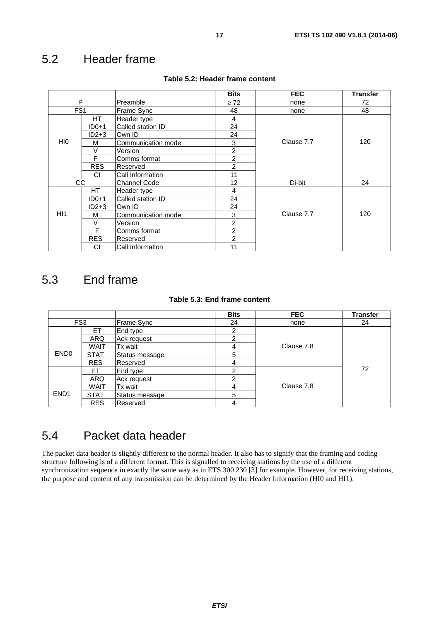## <span id="page-16-0"></span>5.2 Header frame

|                 |            |                     | <b>Bits</b>      | <b>FEC</b> | <b>Transfer</b> |
|-----------------|------------|---------------------|------------------|------------|-----------------|
| P               |            | Preamble            | $\geq 72$        | none       | 72              |
| FS <sub>1</sub> |            | Frame Sync          | 48               | none       | 48              |
|                 | <b>HT</b>  | Header type         | 4                |            |                 |
|                 | $ID0+1$    | Called station ID   | 24               |            |                 |
|                 | $ID2+3$    | Own ID              | 24               |            |                 |
| HI0             | м          | Communication mode  | 3                | Clause 7.7 | 120             |
|                 | V          | Version             | $\overline{2}$   |            |                 |
|                 | F          | Comms format        | $\overline{2}$   |            |                 |
|                 | <b>RES</b> | Reserved            | $\overline{2}$   |            |                 |
|                 | CI         | Call Information    | 11               |            |                 |
|                 | CС         | <b>Channel Code</b> | 12               | Di-bit     | 24              |
|                 | <b>HT</b>  | Header type         | 4                |            |                 |
|                 | $ID0+1$    | Called station ID   | 24               |            |                 |
|                 | $ID2+3$    | Own ID              | 24               |            |                 |
| H11             | м          | Communication mode  | 3                | Clause 7.7 | 120             |
|                 | V          | Version             | $\boldsymbol{2}$ |            |                 |
|                 | F          | Comms format        | 2                |            |                 |
|                 | <b>RES</b> | Reserved            | $\overline{2}$   |            |                 |
|                 | СI         | Call Information    | 11               |            |                 |

#### **Table 5.2: Header frame content**

## 5.3 End frame

#### **Table 5.3: End frame content**

|                  |             |                | <b>Bits</b>    | <b>FEC</b> | <b>Transfer</b> |
|------------------|-------------|----------------|----------------|------------|-----------------|
| FS <sub>3</sub>  |             | Frame Sync     | 24             | none       | 24              |
|                  | ET.         | End type       | 2              |            |                 |
|                  | <b>ARQ</b>  | Ack request    | $\overline{2}$ |            |                 |
|                  | <b>WAIT</b> | Tx wait        | 4              | Clause 7.8 |                 |
| END <sub>0</sub> | <b>STAT</b> | Status message | 5              |            |                 |
|                  | <b>RES</b>  | Reserved       | 4              |            |                 |
|                  | EТ          | End type       | $\overline{2}$ |            | 72              |
|                  | <b>ARQ</b>  | Ack request    | 2              |            |                 |
|                  | <b>WAIT</b> | Tx wait        | 4              | Clause 7.8 |                 |
| END <sub>1</sub> | <b>STAT</b> | Status message | 5              |            |                 |
|                  | <b>RES</b>  | Reserved       | 4              |            |                 |

## 5.4 Packet data header

The packet data header is slightly different to the normal header. It also has to signify that the framing and coding structure following is of a different format. This is signalled to receiving stations by the use of a different synchronization sequence in exactly the same way as in ETS 300 230 [\[3](#page-6-0)] for example. However, for receiving stations, the purpose and content of any transmission can be determined by the Header Information (HI0 and HI1).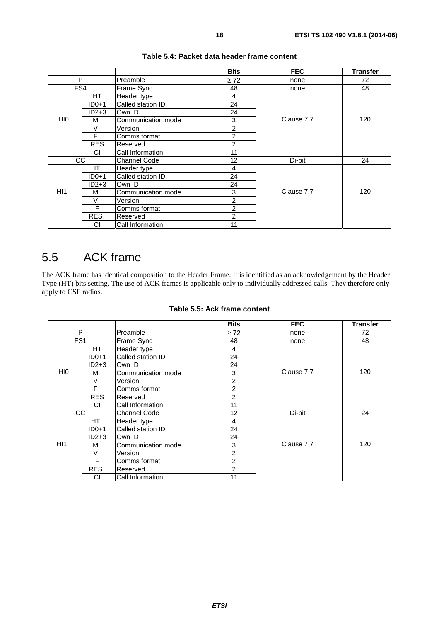<span id="page-17-0"></span>

|                 |            |                     | <b>Bits</b>    | <b>FEC</b> | <b>Transfer</b> |
|-----------------|------------|---------------------|----------------|------------|-----------------|
| P               |            | Preamble            | $\geq 72$      | none       | 72              |
| FS4             |            | Frame Sync          | 48             | none       | 48              |
|                 | HT.        | Header type         | 4              |            |                 |
|                 | $ID0+1$    | Called station ID   | 24             |            |                 |
|                 | $ID2+3$    | Own ID              | 24             |            |                 |
| HI <sub>0</sub> | м          | Communication mode  | 3              | Clause 7.7 | 120             |
|                 | V          | Version             | 2              |            |                 |
|                 | F          | Comms format        | 2              |            |                 |
|                 | <b>RES</b> | Reserved            | $\overline{2}$ |            |                 |
|                 | CI         | Call Information    | 11             |            |                 |
| CC              |            | <b>Channel Code</b> | 12             | Di-bit     | 24              |
|                 | <b>HT</b>  | Header type         | $\overline{4}$ |            |                 |
|                 | ID0+1      | Called station ID   | 24             |            |                 |
|                 | $ID2+3$    | Own ID              | 24             |            |                 |
| H11             | М          | Communication mode  | 3              | Clause 7.7 | 120             |
|                 | V          | Version             | $\overline{c}$ |            |                 |
|                 | F          | Comms format        | 2              |            |                 |
|                 | <b>RES</b> | Reserved            | 2              |            |                 |
|                 | CI         | Call Information    | 11             |            |                 |

#### **Table 5.4: Packet data header frame content**

## 5.5 ACK frame

The ACK frame has identical composition to the Header Frame. It is identified as an acknowledgement by the Header Type (HT) bits setting. The use of ACK frames is applicable only to individually addressed calls. They therefore only apply to CSF radios.

|                 |            |                     | <b>Bits</b>    | <b>FEC</b> | <b>Transfer</b> |
|-----------------|------------|---------------------|----------------|------------|-----------------|
| P               |            | Preamble            | $\geq 72$      | none       | 72              |
| FS <sub>1</sub> |            | Frame Sync          | 48             | none       | 48              |
|                 | HТ         | Header type         | 4              |            |                 |
|                 | $ID0+1$    | Called station ID   | 24             |            |                 |
|                 | $ID2+3$    | Own ID              | 24             |            |                 |
| <b>HIO</b>      | м          | Communication mode  | 3              | Clause 7.7 | 120             |
|                 | $\vee$     | Version             | $\overline{2}$ |            |                 |
|                 | F          | Comms format        | $\overline{2}$ |            |                 |
|                 | <b>RES</b> | Reserved            | $\overline{2}$ |            |                 |
|                 | CI         | Call Information    | 11             |            |                 |
| <b>CC</b>       |            | <b>Channel Code</b> | 12             | Di-bit     | 24              |
|                 | HT.        | Header type         | 4              |            |                 |
|                 | ID0+1      | Called station ID   | 24             |            |                 |
|                 | $ID2+3$    | Own ID              | 24             |            |                 |
| H11             | м          | Communication mode  | 3              | Clause 7.7 | 120             |
|                 | V          | Version             | $\overline{2}$ |            |                 |
|                 | F          | Comms format        | $\overline{2}$ |            |                 |
|                 | <b>RES</b> | Reserved            | $\overline{2}$ |            |                 |
|                 | СI         | Call Information    | 11             |            |                 |

#### **Table 5.5: Ack frame content**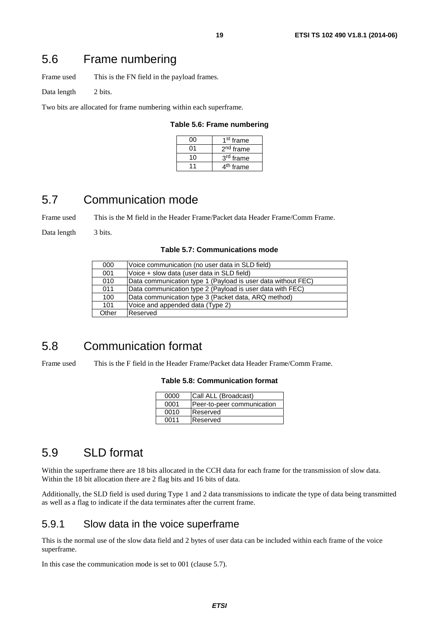## <span id="page-18-0"></span>5.6 Frame numbering

Frame used This is the FN field in the payload frames.

Data length 2 bits.

Two bits are allocated for frame numbering within each superframe.

#### **Table 5.6: Frame numbering**

| იი | 1 <sup>st</sup> frame |
|----|-----------------------|
| 01 | 2 <sup>nd</sup> frame |
| 10 | 3rd frame             |
|    | 4 <sup>th</sup> frame |

## 5.7 Communication mode

Frame used This is the M field in the Header Frame/Packet data Header Frame/Comm Frame.

Data length 3 bits.

| Table 5.7: Communications mode |  |  |  |
|--------------------------------|--|--|--|
|--------------------------------|--|--|--|

| 000   | Voice communication (no user data in SLD field)              |
|-------|--------------------------------------------------------------|
| 001   | Voice + slow data (user data in SLD field)                   |
| 010   | Data communication type 1 (Payload is user data without FEC) |
| 011   | Data communication type 2 (Payload is user data with FEC)    |
| 100   | Data communication type 3 (Packet data, ARQ method)          |
| 101   | Voice and appended data (Type 2)                             |
| Other | Reserved                                                     |

## 5.8 Communication format

Frame used This is the F field in the Header Frame/Packet data Header Frame/Comm Frame.

### **Table 5.8: Communication format**

| 0000 | Call ALL (Broadcast)       |
|------|----------------------------|
| 0001 | Peer-to-peer communication |
| 0010 | Reserved                   |
| 0011 | <b>IReserved</b>           |

## 5.9 SLD format

Within the superframe there are 18 bits allocated in the CCH data for each frame for the transmission of slow data. Within the 18 bit allocation there are 2 flag bits and 16 bits of data.

Additionally, the SLD field is used during Type 1 and 2 data transmissions to indicate the type of data being transmitted as well as a flag to indicate if the data terminates after the current frame.

### 5.9.1 Slow data in the voice superframe

This is the normal use of the slow data field and 2 bytes of user data can be included within each frame of the voice superframe.

In this case the communication mode is set to 001 (clause 5.7).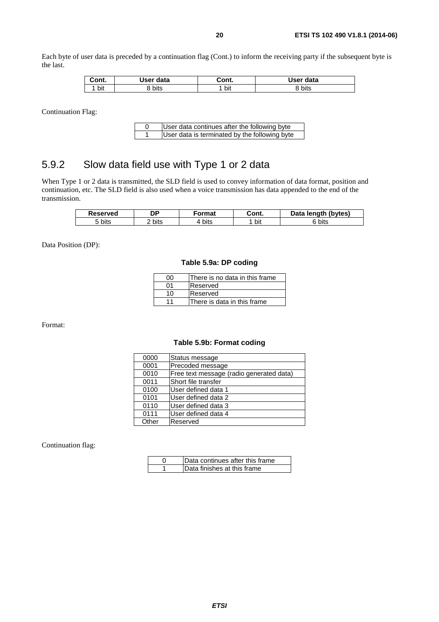<span id="page-19-0"></span>Each byte of user data is preceded by a continuation flag (Cont.) to inform the receiving party if the subsequent byte is the last.

| Cont. | User data | Cont. | User data |
|-------|-----------|-------|-----------|
| bit   | bits      | bit   | २ bits    |

Continuation Flag:

| User data continues after the following byte  |
|-----------------------------------------------|
| User data is terminated by the following byte |

## 5.9.2 Slow data field use with Type 1 or 2 data

When Type 1 or 2 data is transmitted, the SLD field is used to convey information of data format, position and continuation, etc. The SLD field is also used when a voice transmission has data appended to the end of the transmission.

| Reserved | DP   | ormat | Cont. | lenath (bytes)<br>Data |
|----------|------|-------|-------|------------------------|
| ™ bits   | bits | bits  | bit   | bits                   |

Data Position (DP):

#### **Table 5.9a: DP coding**

| ററ | There is no data in this frame |
|----|--------------------------------|
| 01 | <b>Reserved</b>                |
| 10 | Reserved                       |
|    | There is data in this frame    |

Format:

#### **Table 5.9b: Format coding**

| 0000  | Status message                           |
|-------|------------------------------------------|
| 0001  | Precoded message                         |
| 0010  | Free text message (radio generated data) |
| 0011  | Short file transfer                      |
| 0100  | User defined data 1                      |
| 0101  | User defined data 2                      |
| 0110  | User defined data 3                      |
| 0111  | User defined data 4                      |
| Other | Reserved                                 |

Continuation flag:

| Data continues after this frame |
|---------------------------------|
| Data finishes at this frame     |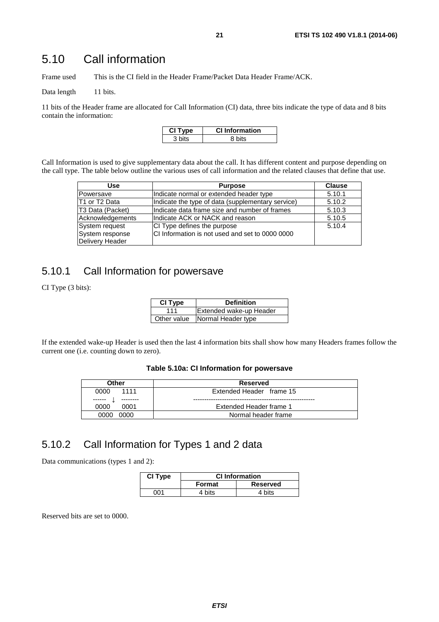## <span id="page-20-0"></span>5.10 Call information

Frame used This is the CI field in the Header Frame/Packet Data Header Frame/ACK.

Data length 11 bits.

11 bits of the Header frame are allocated for Call Information (CI) data, three bits indicate the type of data and 8 bits contain the information:

| CH.<br>ne. | <b>CI Information</b> |
|------------|-----------------------|
| 3 bits .   |                       |

Call Information is used to give supplementary data about the call. It has different content and purpose depending on the call type. The table below outline the various uses of call information and the related clauses that define that use.

| Use              | <b>Purpose</b>                                    | <b>Clause</b> |
|------------------|---------------------------------------------------|---------------|
| Powersave        | Indicate normal or extended header type           | 5.10.1        |
| T1 or T2 Data    | Indicate the type of data (supplementary service) | 5.10.2        |
| T3 Data (Packet) | Indicate data frame size and number of frames     | 5.10.3        |
| Acknowledgements | Indicate ACK or NACK and reason                   | 5.10.5        |
| System request   | CI Type defines the purpose                       | 5.10.4        |
| System response  | CI Information is not used and set to 0000 0000   |               |
| Delivery Header  |                                                   |               |

### 5.10.1 Call Information for powersave

CI Type (3 bits):

| CI Type     | <b>Definition</b>       |
|-------------|-------------------------|
| 111         | Extended wake-up Header |
| Other value | Normal Header type      |

If the extended wake-up Header is used then the last 4 information bits shall show how many Headers frames follow the current one (i.e. counting down to zero).

| Other        | Reserved                 |
|--------------|--------------------------|
| 1111<br>0000 | Extended Header frame 15 |
| ------       |                          |
| 0000<br>0001 | Extended Header frame 1  |
| 0000<br>0000 | Normal header frame      |

## 5.10.2 Call Information for Types 1 and 2 data

Data communications (types 1 and 2):

| CI Type | <b>CI Information</b> |                 |
|---------|-----------------------|-----------------|
|         | Format                | <b>Reserved</b> |
| በበ1     | 4 bits                | 4 bits          |

Reserved bits are set to 0000.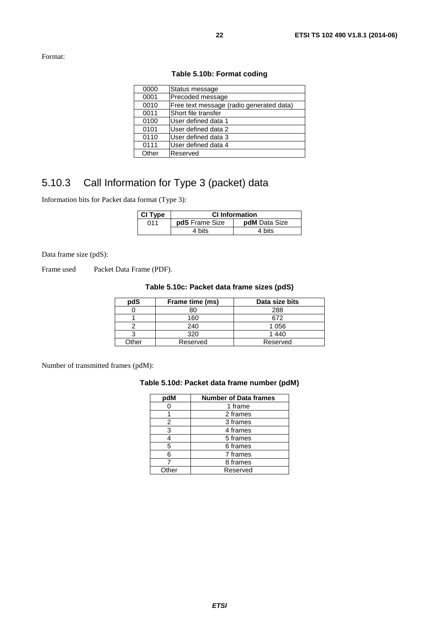<span id="page-21-0"></span>Format:

| 0000  | Status message                           |
|-------|------------------------------------------|
| 0001  | Precoded message                         |
| 0010  | Free text message (radio generated data) |
| 0011  | Short file transfer                      |
| 0100  | User defined data 1                      |
| 0101  | User defined data 2                      |
| 0110  | User defined data 3                      |
| 0111  | User defined data 4                      |
| Other | Reserved                                 |

### **Table 5.10b: Format coding**

## 5.10.3 Call Information for Type 3 (packet) data

Information bits for Packet data format (Type 3):

| <b>CI Type</b> | <b>CI Information</b> |                      |
|----------------|-----------------------|----------------------|
| 011            | <b>pdS</b> Frame Size | <b>pdM</b> Data Size |
|                | 4 bits                | 4 bits               |

Data frame size (pdS):

Frame used Packet Data Frame (PDF).

### **Table 5.10c: Packet data frame sizes (pdS)**

| pdS   | Frame time (ms) | Data size bits |
|-------|-----------------|----------------|
|       |                 | 288            |
|       | 160             | 672            |
|       | 240             | 1 0 5 6        |
|       | 320             | 1440           |
| )ther | Reserved        | Reserved       |

Number of transmitted frames (pdM):

### **Table 5.10d: Packet data frame number (pdM)**

| pdM  | <b>Number of Data frames</b> |
|------|------------------------------|
|      | 1 frame                      |
|      | 2 frames                     |
| 2    | 3 frames                     |
| 3    | 4 frames                     |
|      | 5 frames                     |
| 5    | 6 frames                     |
| 6    | 7 frames                     |
|      | 8 frames                     |
| ther | Reserved                     |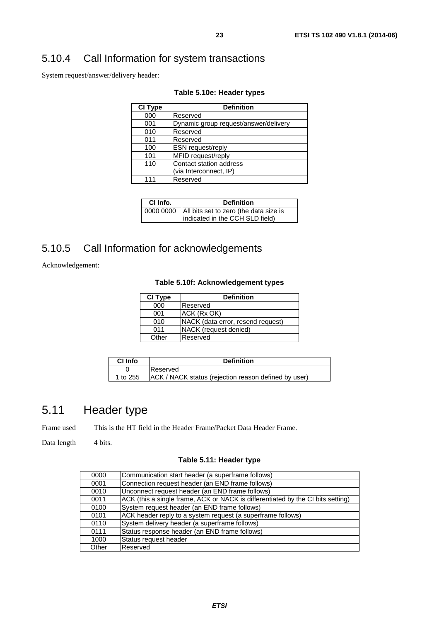## <span id="page-22-0"></span>5.10.4 Call Information for system transactions

System request/answer/delivery header:

| CI Type | <b>Definition</b>                     |
|---------|---------------------------------------|
| 000     | Reserved                              |
| 001     | Dynamic group request/answer/delivery |
| 010     | Reserved                              |
| 011     | Reserved                              |
| 100     | ESN request/reply                     |
| 101     | MFID request/reply                    |
| 110     | Contact station address               |
|         | (via Interconnect, IP)                |
| 111     | Reserved                              |

| CI Info. | <b>Definition</b>                                                                   |
|----------|-------------------------------------------------------------------------------------|
|          | 0000 0000 All bits set to zero (the data size is<br>indicated in the CCH SLD field) |

## 5.10.5 Call Information for acknowledgements

Acknowledgement:

#### **Table 5.10f: Acknowledgement types**

| CI Type | <b>Definition</b>                 |
|---------|-----------------------------------|
| 000     | Reserved                          |
| 001     | ACK (Rx OK)                       |
| 010     | NACK (data error, resend request) |
| 011     | NACK (request denied)             |
| Other   | Reserved                          |

| CI Info  | <b>Definition</b>                                    |
|----------|------------------------------------------------------|
|          | <b>Reserved</b>                                      |
| 1 to 255 | ACK / NACK status (rejection reason defined by user) |

## 5.11 Header type

Frame used This is the HT field in the Header Frame/Packet Data Header Frame.

Data length 4 bits.

#### **Table 5.11: Header type**

| 0000  | Communication start header (a superframe follows)                               |
|-------|---------------------------------------------------------------------------------|
| 0001  | Connection request header (an END frame follows)                                |
| 0010  | Unconnect request header (an END frame follows)                                 |
| 0011  | ACK (this a single frame, ACK or NACK is differentiated by the CI bits setting) |
| 0100  | System request header (an END frame follows)                                    |
| 0101  | ACK header reply to a system request (a superframe follows)                     |
| 0110  | System delivery header (a superframe follows)                                   |
| 0111  | Status response header (an END frame follows)                                   |
| 1000  | Status request header                                                           |
| Other | Reserved                                                                        |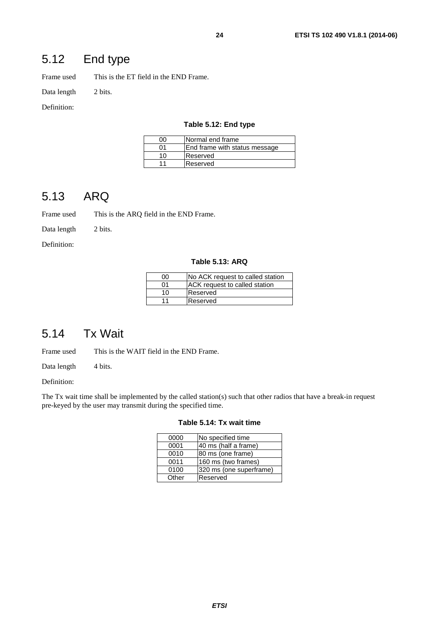## <span id="page-23-0"></span>5.12 End type

Frame used This is the ET field in the END Frame.

Data length 2 bits.

#### Definition:

#### **Table 5.12: End type**

| იი | Normal end frame              |
|----|-------------------------------|
| ሰ1 | End frame with status message |
| 10 | Reserved                      |
| 11 | Reserved                      |

## 5.13 ARQ

Frame used This is the ARQ field in the END Frame.

Data length 2 bits.

Definition:

#### **Table 5.13: ARQ**

| იი              | No ACK request to called station     |
|-----------------|--------------------------------------|
| 01              | <b>ACK</b> request to called station |
| 10 <sup>1</sup> | Reserved                             |
| 11              | Reserved                             |

## 5.14 Tx Wait

Frame used This is the WAIT field in the END Frame.

Data length 4 bits.

### Definition:

The Tx wait time shall be implemented by the called station(s) such that other radios that have a break-in request pre-keyed by the user may transmit during the specified time.

| 0000  | No specified time       |
|-------|-------------------------|
| 0001  | 40 ms (half a frame)    |
| 0010  | 80 ms (one frame)       |
| 0011  | 160 ms (two frames)     |
| 0100  | 320 ms (one superframe) |
| Other | Reserved                |

**Table 5.14: Tx wait time**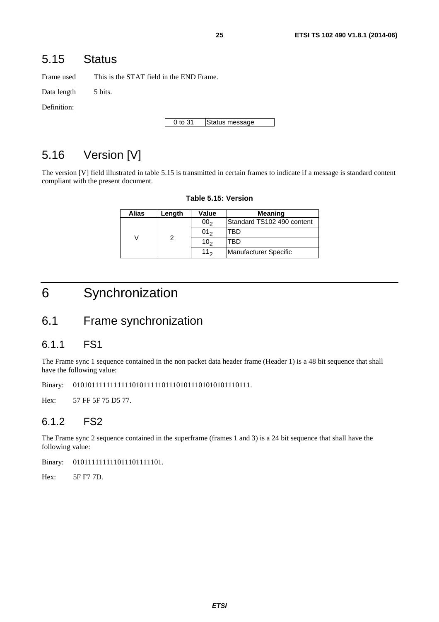## <span id="page-24-0"></span>5.15 Status

Frame used This is the STAT field in the END Frame.

Data length 5 bits.

Definition:

0 to 31 Status message

## 5.16 Version [V]

The version [V] field illustrated in table 5.15 is transmitted in certain frames to indicate if a message is standard content compliant with the present document.

|  |  | Table 5.15: Version |
|--|--|---------------------|
|--|--|---------------------|

| Alias | Length | Value           | <b>Meaning</b>             |
|-------|--------|-----------------|----------------------------|
|       |        | 00 <sub>2</sub> | Standard TS102 490 content |
|       |        | 01 <sub>2</sub> | TBD                        |
|       |        | 10 <sub>2</sub> | TBD                        |
|       |        | 11 <sub>2</sub> | Manufacturer Specific      |

## 6 Synchronization

## 6.1 Frame synchronization

### 6.1.1 FS1

The Frame sync 1 sequence contained in the non packet data header frame (Header 1) is a 48 bit sequence that shall have the following value:

Binary: 010101111111111101011111011101011101010101110111.

Hex: 57 FF 5F 75 D5 77.

### 6.1.2 FS2

The Frame sync 2 sequence contained in the superframe (frames 1 and 3) is a 24 bit sequence that shall have the following value:

Binary: 010111111111011101111101.

Hex: 5F F7 7D.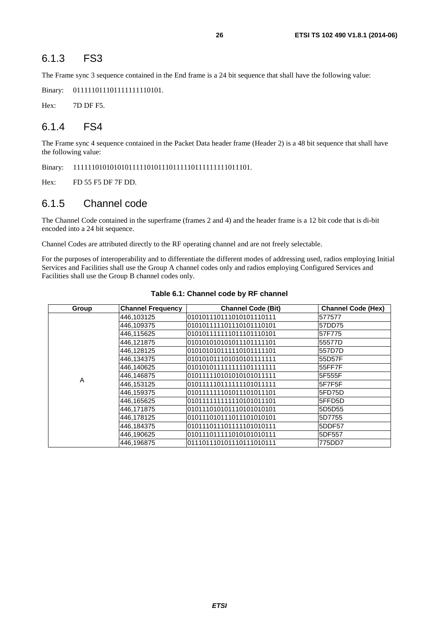### <span id="page-25-0"></span>6.1.3 FS3

The Frame sync 3 sequence contained in the End frame is a 24 bit sequence that shall have the following value:

Binary: 011111011101111111110101.

Hex: 7D DF F5.

### 6.1.4 FS4

The Frame sync 4 sequence contained in the Packet Data header frame (Header 2) is a 48 bit sequence that shall have the following value:

Binary: 111111010101010111110101110111110111111111011101.

Hex: FD 55 F5 DF 7F DD.

### 6.1.5 Channel code

The Channel Code contained in the superframe (frames 2 and 4) and the header frame is a 12 bit code that is di-bit encoded into a 24 bit sequence.

Channel Codes are attributed directly to the RF operating channel and are not freely selectable.

For the purposes of interoperability and to differentiate the different modes of addressing used, radios employing Initial Services and Facilities shall use the Group A channel codes only and radios employing Configured Services and Facilities shall use the Group B channel codes only.

| Group | <b>Channel Frequency</b> | <b>Channel Code (Bit)</b> | <b>Channel Code (Hex)</b> |
|-------|--------------------------|---------------------------|---------------------------|
|       | 446,103125               | 010101110111010101110111  | 577577                    |
|       | 446,109375               | 010101111101110101110101  | 57DD75                    |
|       | 446,115625               | 010101111111011101110101  | 57F775                    |
|       | 446,121875               | 010101010101011101111101  | 55577D                    |
|       | 446,128125               | 010101010111110101111101  | 557D7D                    |
|       | 446,134375               | 010101011101010101111111  | 55D57F                    |
|       | 446,140625               | 010101011111111101111111  | 55FF7F                    |
| A     | 446,146875               | 010111110101010101011111  | 5F555F                    |
|       | 446.153125               | 010111110111111101011111  | 5F7F5F                    |
|       | 446.159375               | 010111111101011101011101  | 5FD75D                    |
|       | 446,165625               | 010111111111110101011101  | 5FFD5D                    |
|       | 446.171875               | 010111010101110101010101  | 5D5D55                    |
|       | 446,178125               | 010111010111011101010101  | 5D7755                    |
|       | 446,184375               | 010111011101111101010111  | 5DDF57                    |
|       | 446.190625               | 010111011111010101010111  | 5DF557                    |
|       | 446.196875               | 011101110101110111010111  | 775DD7                    |

**Table 6.1: Channel code by RF channel**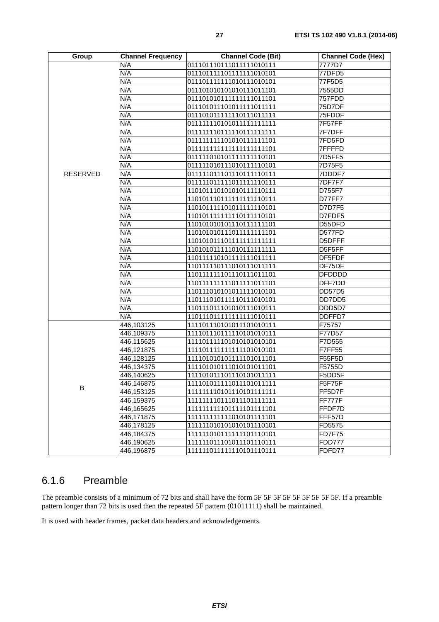<span id="page-26-0"></span>

| Group           | <b>Channel Frequency</b> | <b>Channel Code (Bit)</b> | <b>Channel Code (Hex)</b> |
|-----------------|--------------------------|---------------------------|---------------------------|
|                 | N/A                      | 011101110111011111010111  | 7777D7                    |
|                 | N/A                      | 011101111101111111010101  | 77DFD5                    |
|                 | N/A                      | 011101111111010111010101  | 77F5D5                    |
|                 | N/A                      | 011101010101010111011101  | 7555DD                    |
|                 | N/A                      | 011101010111111111011101  | 757FDD                    |
|                 | N/A                      | 011101011101011111011111  | 75D7DF                    |
|                 | N/A                      | 011101011111110111011111  | 75FDDF                    |
|                 | N/A                      | 011111110101011111111111  | 7F57FF                    |
|                 | N/A                      | 011111110111110111111111  | 7F7DFF                    |
|                 | N/A                      | 011111111101010111111101  | 7FD5FD                    |
|                 | N/A                      | 01111111111111111111101   | 7FFFFD                    |
|                 | N/A                      | 011111010101111111110101  | 7D5FF5                    |
|                 | N/A                      | 011111010111010111110101  | 7D75F5                    |
| <b>RESERVED</b> | N/A                      | 011111011101110111110111  | 7DDDF7                    |
|                 | N/A                      | 011111011111011111110111  | 7DF7F7                    |
|                 | N/A                      | 110101110101010111110111  | D755F7                    |
|                 | N/A                      | 110101110111111111110111  | D77FF7                    |
|                 | N/A                      | 110101111101011111110101  | D7D7F5                    |
|                 | N/A                      | 110101111111110111110101  | D7FDF5                    |
|                 | N/A                      | 110101010101110111111101  | D55DFD                    |
|                 | N/A                      | 110101010111011111111101  | D577FD                    |
|                 | N/A                      | 110101011101111111111111  | D5DFFF                    |
|                 | N/A                      | 110101011111010111111111  | D5F5FF                    |
|                 | N/A                      | 110111110101111111011111  | DF5FDF                    |
|                 | N/A                      | 110111110111010111011111  | DF75DF                    |
|                 | N/A                      | 110111111101110111011101  | <b>DFDDDD</b>             |
|                 | N/A                      | 110111111111011111011101  | DFF7DD                    |
|                 | N/A                      | 110111010101011111010101  | <b>DD57D5</b>             |
|                 | N/A                      | 110111010111110111010101  | DD7DD5                    |
|                 | N/A                      | 110111011101010111010111  | DDD5D7                    |
|                 | N/A                      | 110111011111111111010111  | DDFFD7                    |
|                 | 446,103125               | 111101110101011101010111  | F75757                    |
|                 | 446,109375               | 111101110111110101010111  | F77D57                    |
|                 | 446,115625               | 111101111101010101010101  | F7D555                    |
|                 | 446,121875               | 111101111111111101010101  | <b>F7FF55</b>             |
|                 | 446,128125               | 111101010101111101011101  | F55F5D                    |
|                 | 446,134375               | 111101010111010101011101  | F5755D                    |
|                 | 446,140625               | 111101011101110101011111  | F5DD5F                    |
|                 | 446,146875               | 111101011111011101011111  | F5F75F                    |
| B               | 446,153125               | 111111110101110101111111  | FF5D7F                    |
|                 | 446,159375               | 111111110111011101111111  | FF777F                    |
|                 | 446,165625               | 11111111110111101111101   | FFDF7D                    |
|                 | 446,171875               | 111111111111010101111101  | FFF57D                    |
|                 | 446,178125               | 111111010101010101110101  | FD5575                    |
|                 | 446,184375               | 111111010111111101110101  | <b>FD7F75</b>             |
|                 | 446,190625               | 111111011101011101110111  | <b>FDD777</b>             |
|                 | 446,196875               | 111111011111110101110111  | FDFD77                    |

## 6.1.6 Preamble

The preamble consists of a minimum of 72 bits and shall have the form 5F 5F 5F 5F 5F 5F 5F 5F 5F. If a preamble pattern longer than 72 bits is used then the repeated 5F pattern (01011111) shall be maintained.

It is used with header frames, packet data headers and acknowledgements.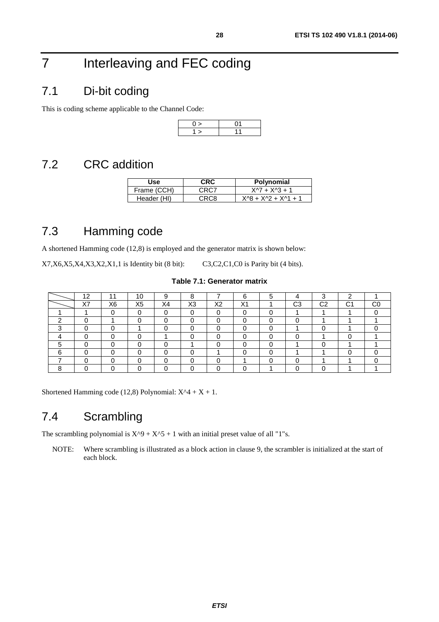## <span id="page-27-0"></span>7 Interleaving and FEC coding

## 7.1 Di-bit coding

This is coding scheme applicable to the Channel Code:

## 7.2 CRC addition

| Use         | <b>CRC</b> | Polynomial          |
|-------------|------------|---------------------|
| Frame (CCH) | CRC7       | $X^{2} + X^{3} + 1$ |
| Header (HI) | CRC8       | X^8 + X^2 + X^1 + 1 |

## 7.3 Hamming code

A shortened Hamming code (12,8) is employed and the generator matrix is shown below:

X7,X6,X5,X4,X3,X2,X1,1 is Identity bit (8 bit): C3,C2,C1,C0 is Parity bit (4 bits).

| Table 7.1: Generator matrix |  |  |  |  |
|-----------------------------|--|--|--|--|
|-----------------------------|--|--|--|--|

| 10 |                | 10             |    |                |    | ⌒                |                |                |        |   |
|----|----------------|----------------|----|----------------|----|------------------|----------------|----------------|--------|---|
| X7 | X <sub>6</sub> | X <sub>5</sub> | X4 | X <sub>3</sub> | X2 | $\vee$<br>$\sim$ | C <sub>3</sub> | C <sub>2</sub> | $\sim$ | r |
|    |                |                |    |                |    |                  |                |                |        |   |
|    |                |                |    |                |    |                  |                |                |        |   |
|    |                |                |    |                |    |                  |                |                |        |   |
|    |                |                |    |                |    |                  |                |                |        |   |
|    |                |                |    |                |    |                  |                |                |        |   |
|    |                |                |    |                |    |                  |                |                |        |   |
|    |                |                |    |                |    |                  |                |                |        |   |
|    |                |                |    |                |    |                  |                |                |        |   |

Shortened Hamming code (12,8) Polynomial:  $X^4 + X + 1$ .

## 7.4 Scrambling

The scrambling polynomial is  $X^0 + X^0 + 1$  with an initial preset value of all "1"s.

NOTE: Where scrambling is illustrated as a block action in clause 9, the scrambler is initialized at the start of each block.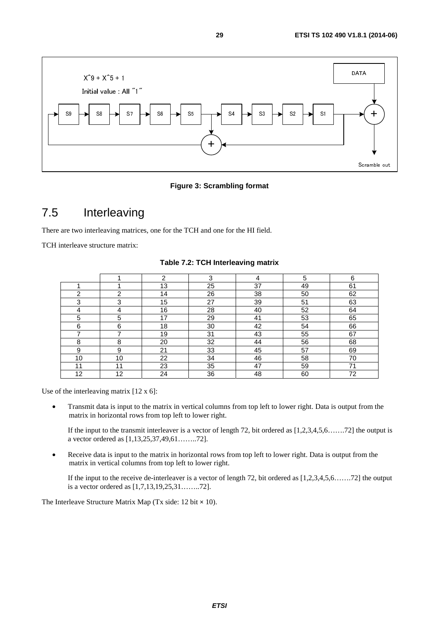<span id="page-28-0"></span>

#### **Figure 3: Scrambling format**

## 7.5 Interleaving

There are two interleaving matrices, one for the TCH and one for the HI field.

TCH interleave structure matrix:

|    |    | 2  | 3  | 4  | 5  | 6  |
|----|----|----|----|----|----|----|
|    |    | 13 | 25 | 37 | 49 | 61 |
| 2  | າ  | 14 | 26 | 38 | 50 | 62 |
| 3  | 3  | 15 | 27 | 39 | 51 | 63 |
| 4  | 4  | 16 | 28 | 40 | 52 | 64 |
| 5  | 5  | 17 | 29 | 41 | 53 | 65 |
| 6  | 6  | 18 | 30 | 42 | 54 | 66 |
| ⇁  | ⇁  | 19 | 31 | 43 | 55 | 67 |
| 8  | 8  | 20 | 32 | 44 | 56 | 68 |
| 9  | 9  | 21 | 33 | 45 | 57 | 69 |
| 10 | 10 | 22 | 34 | 46 | 58 | 70 |
| 11 | 11 | 23 | 35 | 47 | 59 | 71 |
| 12 | 12 | 24 | 36 | 48 | 60 | 72 |

**Table 7.2: TCH Interleaving matrix** 

Use of the interleaving matrix  $[12 \times 6]$ :

• Transmit data is input to the matrix in vertical columns from top left to lower right. Data is output from the matrix in horizontal rows from top left to lower right.

If the input to the transmit interleaver is a vector of length 72, bit ordered as [1,2,3,4,5,6…….72] the output is a vector ordered as [1,13,25,37,49,61……..72].

• Receive data is input to the matrix in horizontal rows from top left to lower right. Data is output from the matrix in vertical columns from top left to lower right.

If the input to the receive de-interleaver is a vector of length 72, bit ordered as [1,2,3,4,5,6…….72] the output is a vector ordered as [1,7,13,19,25,31……..72].

The Interleave Structure Matrix Map (Tx side: 12 bit  $\times$  10).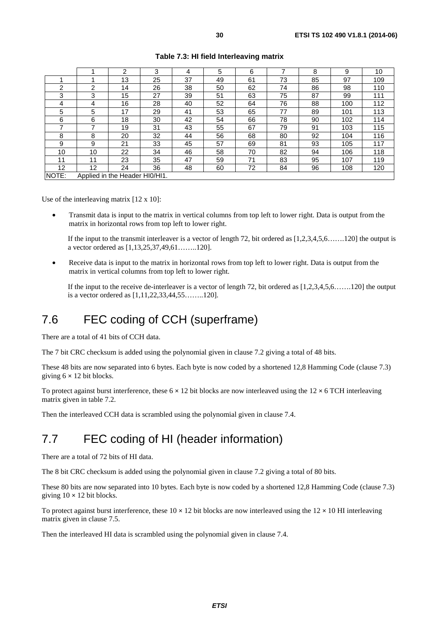<span id="page-29-0"></span>

|          |    | າ                                | 3  | 4  | 5  | 6  |    | 8  | 9   | 10  |
|----------|----|----------------------------------|----|----|----|----|----|----|-----|-----|
|          |    | 13                               | 25 | 37 | 49 | 61 | 73 | 85 | 97  | 109 |
| ◠        | າ  | 14                               | 26 | 38 | 50 | 62 | 74 | 86 | 98  | 110 |
| 3        | 3  | 15                               | 27 | 39 | 51 | 63 | 75 | 87 | 99  | 111 |
| 4        | 4  | 16                               | 28 | 40 | 52 | 64 | 76 | 88 | 100 | 112 |
| 5        | 5  | 17                               | 29 | 41 | 53 | 65 | 77 | 89 | 101 | 113 |
| 6        | 6  | 18                               | 30 | 42 | 54 | 66 | 78 | 90 | 102 | 114 |
| ⇁        | 7  | 19                               | 31 | 43 | 55 | 67 | 79 | 91 | 103 | 115 |
| 8        | 8  | 20                               | 32 | 44 | 56 | 68 | 80 | 92 | 104 | 116 |
| 9        | 9  | 21                               | 33 | 45 | 57 | 69 | 81 | 93 | 105 | 117 |
| 10       | 10 | 22                               | 34 | 46 | 58 | 70 | 82 | 94 | 106 | 118 |
| 11       | 11 | 23                               | 35 | 47 | 59 | 71 | 83 | 95 | 107 | 119 |
| 12       | 12 | 24                               | 36 | 48 | 60 | 72 | 84 | 96 | 108 | 120 |
| $\cdots$ |    | $\lambda$ is a ifferent theories |    |    |    |    |    |    |     |     |

**Table 7.3: HI field Interleaving matrix** 

NOTE: Applied in the Header HI0/HI1.

Use of the interleaving matrix [12 x 10]:

• Transmit data is input to the matrix in vertical columns from top left to lower right. Data is output from the matrix in horizontal rows from top left to lower right.

If the input to the transmit interleaver is a vector of length 72, bit ordered as [1,2,3,4,5,6…….120] the output is a vector ordered as [1,13,25,37,49,61……..120].

• Receive data is input to the matrix in horizontal rows from top left to lower right. Data is output from the matrix in vertical columns from top left to lower right.

If the input to the receive de-interleaver is a vector of length 72, bit ordered as [1,2,3,4,5,6…….120] the output is a vector ordered as [1,11,22,33,44,55……..120].

## 7.6 FEC coding of CCH (superframe)

There are a total of 41 bits of CCH data.

The 7 bit CRC checksum is added using the polynomial given in clause 7.2 giving a total of 48 bits.

These 48 bits are now separated into 6 bytes. Each byte is now coded by a shortened 12,8 Hamming Code (clause 7.3) giving  $6 \times 12$  bit blocks.

To protect against burst interference, these  $6 \times 12$  bit blocks are now interleaved using the  $12 \times 6$  TCH interleaving matrix given in table 7.2.

Then the interleaved CCH data is scrambled using the polynomial given in clause 7.4.

## 7.7 FEC coding of HI (header information)

There are a total of 72 bits of HI data.

The 8 bit CRC checksum is added using the polynomial given in clause 7.2 giving a total of 80 bits.

These 80 bits are now separated into 10 bytes. Each byte is now coded by a shortened 12,8 Hamming Code (clause 7.3) giving  $10 \times 12$  bit blocks.

To protect against burst interference, these  $10 \times 12$  bit blocks are now interleaved using the  $12 \times 10$  HI interleaving matrix given in clause 7.5.

Then the interleaved HI data is scrambled using the polynomial given in clause 7.4.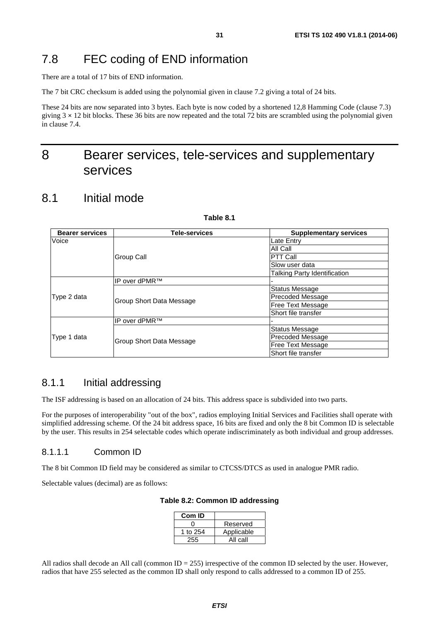## <span id="page-30-0"></span>7.8 FEC coding of END information

There are a total of 17 bits of END information.

The 7 bit CRC checksum is added using the polynomial given in clause 7.2 giving a total of 24 bits.

These 24 bits are now separated into 3 bytes. Each byte is now coded by a shortened 12,8 Hamming Code (clause 7.3) giving  $3 \times 12$  bit blocks. These 36 bits are now repeated and the total 72 bits are scrambled using the polynomial given in clause 7.4.

## 8 Bearer services, tele-services and supplementary services

## 8.1 Initial mode

| <b>Bearer services</b> | Tele-services            | <b>Supplementary services</b> |
|------------------------|--------------------------|-------------------------------|
| Voice                  |                          | Late Entry                    |
|                        |                          | All Call                      |
|                        | <b>Group Call</b>        | <b>PTT Call</b>               |
|                        |                          | Slow user data                |
|                        |                          | Talking Party Identification  |
|                        | IP over dPMR™            |                               |
|                        |                          | <b>Status Message</b>         |
| Type 2 data            | Group Short Data Message | Precoded Message              |
|                        |                          | <b>Free Text Message</b>      |
|                        |                          | Short file transfer           |
| Type 1 data            | IP over dPMR™            |                               |
|                        |                          | Status Message                |
|                        |                          | Precoded Message              |
|                        | Group Short Data Message | <b>Free Text Message</b>      |
|                        |                          | Short file transfer           |

#### **Table 8.1**

### 8.1.1 Initial addressing

The ISF addressing is based on an allocation of 24 bits. This address space is subdivided into two parts.

For the purposes of interoperability "out of the box", radios employing Initial Services and Facilities shall operate with simplified addressing scheme. Of the 24 bit address space, 16 bits are fixed and only the 8 bit Common ID is selectable by the user. This results in 254 selectable codes which operate indiscriminately as both individual and group addresses.

### 8.1.1.1 Common ID

The 8 bit Common ID field may be considered as similar to CTCSS/DTCS as used in analogue PMR radio.

Selectable values (decimal) are as follows:

#### **Table 8.2: Common ID addressing**

| Com ID   |            |
|----------|------------|
|          | Reserved   |
| 1 to 254 | Applicable |
| 255      | All call   |

All radios shall decode an All call (common  $ID = 255$ ) irrespective of the common ID selected by the user. However, radios that have 255 selected as the common ID shall only respond to calls addressed to a common ID of 255.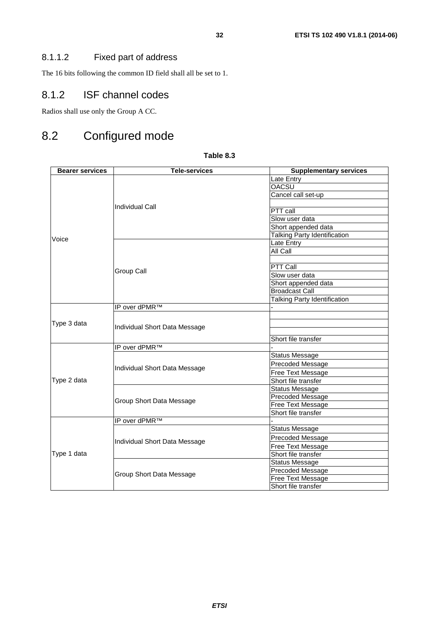### <span id="page-31-0"></span>8.1.1.2 Fixed part of address

The 16 bits following the common ID field shall all be set to 1.

## 8.1.2 ISF channel codes

Radios shall use only the Group A CC.

## 8.2 Configured mode

| <b>Bearer services</b> | <b>Tele-services</b>          | <b>Supplementary services</b>       |
|------------------------|-------------------------------|-------------------------------------|
|                        |                               | Late Entry                          |
|                        |                               | OACSU                               |
|                        |                               | Cancel call set-up                  |
|                        | Individual Call               |                                     |
|                        |                               | PTT call                            |
|                        |                               | Slow user data                      |
|                        |                               | Short appended data                 |
| Voice                  |                               | <b>Talking Party Identification</b> |
|                        |                               | Late Entry                          |
|                        |                               | All Call                            |
|                        |                               |                                     |
|                        | Group Call                    | <b>PTT Call</b>                     |
|                        |                               | Slow user data                      |
|                        |                               | Short appended data                 |
|                        |                               | <b>Broadcast Call</b>               |
|                        |                               | <b>Talking Party Identification</b> |
|                        | IP over dPMR™                 |                                     |
|                        |                               |                                     |
| Type 3 data            | Individual Short Data Message |                                     |
|                        |                               |                                     |
|                        |                               | Short file transfer                 |
|                        | IP over dPMR™                 |                                     |
|                        |                               | <b>Status Message</b>               |
|                        | Individual Short Data Message | Precoded Message                    |
|                        |                               | Free Text Message                   |
| Type 2 data            |                               | Short file transfer                 |
|                        |                               | <b>Status Message</b>               |
|                        | Group Short Data Message      | Precoded Message                    |
|                        |                               | Free Text Message                   |
|                        |                               | Short file transfer                 |
|                        | IP over dPMR™                 |                                     |
|                        |                               | <b>Status Message</b>               |
|                        | Individual Short Data Message | Precoded Message                    |
|                        |                               | Free Text Message                   |
| Type 1 data            |                               | Short file transfer                 |
|                        |                               | <b>Status Message</b>               |
|                        | Group Short Data Message      | Precoded Message                    |
|                        |                               | Free Text Message                   |
|                        |                               | Short file transfer                 |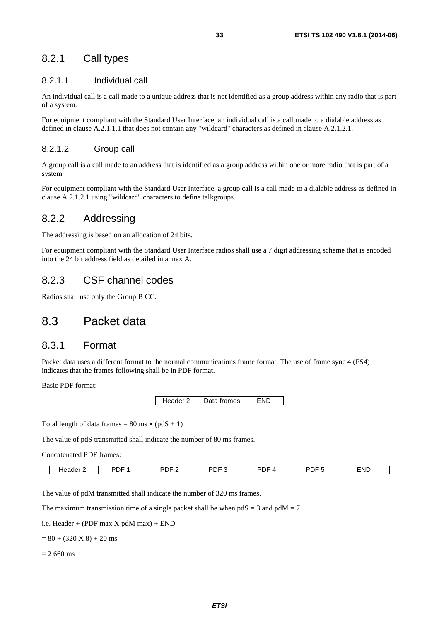### <span id="page-32-0"></span>8.2.1 Call types

### 8.2.1.1 Individual call

An individual call is a call made to a unique address that is not identified as a group address within any radio that is part of a system.

For equipment compliant with the Standard User Interface, an individual call is a call made to a dialable address as defined in clause A.2.1.1.1 that does not contain any "wildcard" characters as defined in clause A.2.1.2.1.

### 8.2.1.2 Group call

A group call is a call made to an address that is identified as a group address within one or more radio that is part of a system.

For equipment compliant with the Standard User Interface, a group call is a call made to a dialable address as defined in clause A.2.1.2.1 using "wildcard" characters to define talkgroups.

### 8.2.2 Addressing

The addressing is based on an allocation of 24 bits.

For equipment compliant with the Standard User Interface radios shall use a 7 digit addressing scheme that is encoded into the 24 bit address field as detailed in annex A.

### 8.2.3 CSF channel codes

Radios shall use only the Group B CC.

## 8.3 Packet data

### 8.3.1 Format

Packet data uses a different format to the normal communications frame format. The use of frame sync 4 (FS4) indicates that the frames following shall be in PDF format.

Basic PDF format:

Header 2 | Data frames | END

Total length of data frames =  $80 \text{ ms} \times (\text{pdS} + 1)$ 

The value of pdS transmitted shall indicate the number of 80 ms frames.

Concatenated PDF frames:

| . Header | PDF | ום<br>$\overline{\phantom{a}}$<br>℩∟<br>.<br>- | PDF | ⊦ن<br> | - -<br>חם<br>эE<br>ັ | END |
|----------|-----|------------------------------------------------|-----|--------|----------------------|-----|
|          |     |                                                |     |        |                      |     |

The value of pdM transmitted shall indicate the number of 320 ms frames.

The maximum transmission time of a single packet shall be when  $p dS = 3$  and  $p dM = 7$ 

i.e. Header + (PDF max X pdM max) + END

 $= 80 + (320 \text{ X } 8) + 20 \text{ ms}$ 

 $= 2,660$  ms

 $\sqrt{ }$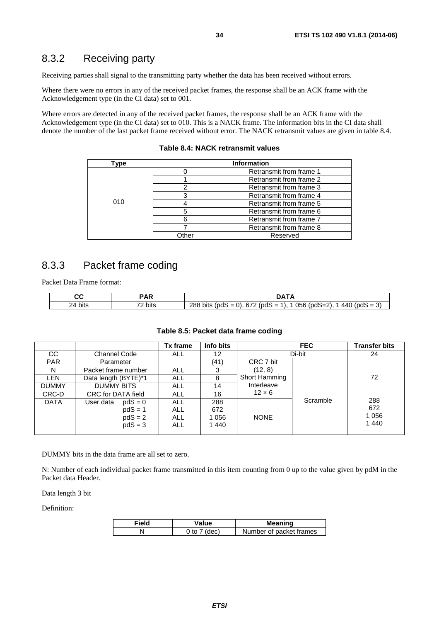### <span id="page-33-0"></span>8.3.2 Receiving party

Receiving parties shall signal to the transmitting party whether the data has been received without errors.

Where there were no errors in any of the received packet frames, the response shall be an ACK frame with the Acknowledgement type (in the CI data) set to 001.

Where errors are detected in any of the received packet frames, the response shall be an ACK frame with the Acknowledgement type (in the CI data) set to 010. This is a NACK frame. The information bits in the CI data shall denote the number of the last packet frame received without error. The NACK retransmit values are given in table 8.4.

**Type Information** 010 0 Retransmit from frame 1 1 Retransmit from frame 2 2 Retransmit from frame 3 3 Retransmit from frame 4 4 Retransmit from frame 5

5 Retransmit from frame 6 6 Retransmit from frame 7 7 Retransmit from frame 8

Other Reserved

**Table 8.4: NACK retransmit values** 

### 8.3.3 Packet frame coding

Packet Data Frame format:

| rr<br>uu   | <b>DAD</b><br>AD.                  | I A                                                                                                                                                                                                                                                                   |
|------------|------------------------------------|-----------------------------------------------------------------------------------------------------------------------------------------------------------------------------------------------------------------------------------------------------------------------|
| bits<br>24 | $\overline{\phantom{a}}$<br>2 bits | 056<br>672<br>$\cdot$ $\sim$<br>$\sim$<br>$\text{fndS} = 2$<br>$\bigcap$<br>288<br>$\prime$ pdS.<br>$\sim$<br>$\Delta\Delta\Gamma$<br>$\sim$<br>(pdS<br>bits<br>/nd.S<br>$\overline{\phantom{a}}$<br>-<br>$\sim$ $-$<br>$\overline{\phantom{0}}$<br>, ت =<br>--<br>-- |

#### **Table 8.5: Packet data frame coding**

|              |                         | <b>Tx frame</b> | Info bits |               | <b>FEC</b> | <b>Transfer bits</b> |
|--------------|-------------------------|-----------------|-----------|---------------|------------|----------------------|
| CС           | <b>Channel Code</b>     | <b>ALL</b>      | 12        | Di-bit        |            | 24                   |
| <b>PAR</b>   | Parameter               |                 | (41)      | CRC 7 bit     |            |                      |
| N            | Packet frame number     | ALL             | 3         | (12, 8)       |            |                      |
| LEN          | Data length (BYTE)*1    | ALL             | 8         | Short Hamming |            | 72                   |
| <b>DUMMY</b> | DUMMY BITS              | ALL             | 14        | Interleave    |            |                      |
| CRC-D        | CRC for DATA field      | <b>ALL</b>      | 16        | $12 \times 6$ |            |                      |
| <b>DATA</b>  | User data<br>$p dS = 0$ | ALL             | 288       |               | Scramble   | 288                  |
|              | $p dS = 1$              | ALL             | 672       |               |            | 672                  |
|              | $p dS = 2$              | ALL             | 1056      | <b>NONE</b>   |            | 1056                 |
|              | $p dS = 3$              | ALL             | 1 440     |               |            | 1440                 |
|              |                         |                 |           |               |            |                      |

DUMMY bits in the data frame are all set to zero.

N: Number of each individual packet frame transmitted in this item counting from 0 up to the value given by pdM in the Packet data Header.

Data length 3 bit

Definition:

| Field | Value          | <b>Meaning</b>          |  |
|-------|----------------|-------------------------|--|
|       | 0 to $7$ (dec) | Number of packet frames |  |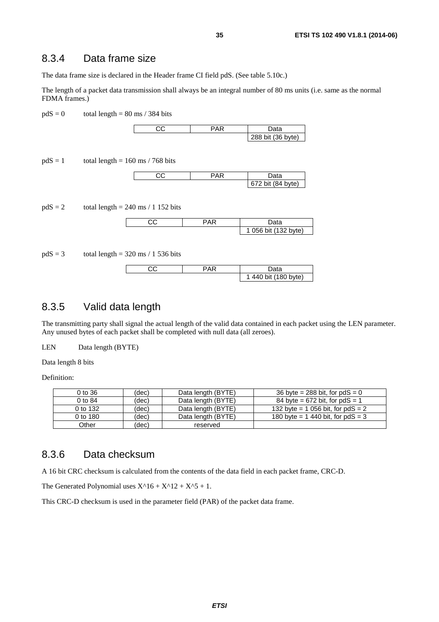### <span id="page-34-0"></span>8.3.4 Data frame size

The data frame size is declared in the Header frame CI field pdS. (See table 5.10c.)

The length of a packet data transmission shall always be an integral number of 80 ms units (i.e. same as the normal FDMA frames.)

 $pdS = 0$  total length = 80 ms / 384 bits

|  | hit 12G<br>te)<br>эΩΩ.<br>∼<br>້ |
|--|----------------------------------|

 $pdS = 1$  total length = 160 ms / 768 bits

| AR | `੧ta              |
|----|-------------------|
|    | 672 bit (84 byte) |

 $pdS = 2$  total length = 240 ms / 1 152 bits

| 、 | αια                        |  |
|---|----------------------------|--|
|   | $(132 \text{ byte})$<br>~… |  |

 $p dS = 3$  total length = 320 ms / 1 536 bits

|  | ата                |
|--|--------------------|
|  | 440 bit (180 byte) |

### 8.3.5 Valid data length

The transmitting party shall signal the actual length of the valid data contained in each packet using the LEN parameter. Any unused bytes of each packet shall be completed with null data (all zeroes).

LEN Data length (BYTE)

Data length 8 bits

Definition:

| $0$ to $36$ | (dec) | Data length (BYTE) | 36 byte = 288 bit, for $p dS = 0$    |
|-------------|-------|--------------------|--------------------------------------|
| 0 to 84     | (dec) | Data length (BYTE) | 84 byte = $672$ bit, for $p dS = 1$  |
| 0 to 132    | (dec) | Data length (BYTE) | 132 byte = 1 056 bit, for $p dS = 2$ |
| 0 to 180    | (dec) | Data length (BYTE) | 180 byte = 1 440 bit, for $p dS = 3$ |
| Other       | (dec) | reserved           |                                      |

### 8.3.6 Data checksum

A 16 bit CRC checksum is calculated from the contents of the data field in each packet frame, CRC-D.

The Generated Polynomial uses  $X^{\wedge}16 + X^{\wedge}12 + X^{\wedge}5 + 1$ .

This CRC-D checksum is used in the parameter field (PAR) of the packet data frame.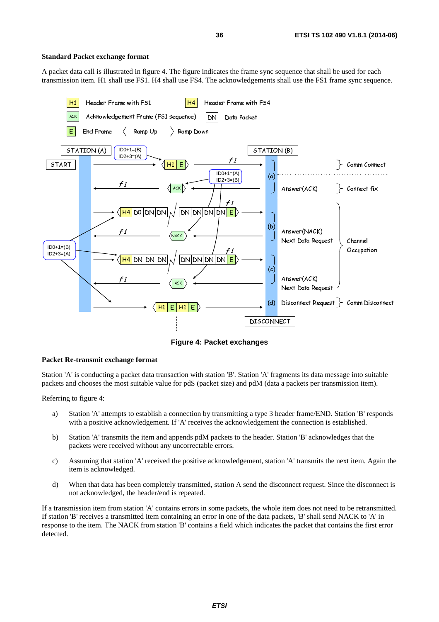#### **Standard Packet exchange format**

A packet data call is illustrated in figure 4. The figure indicates the frame sync sequence that shall be used for each transmission item. H1 shall use FS1. H4 shall use FS4. The acknowledgements shall use the FS1 frame sync sequence.



**Figure 4: Packet exchanges** 

#### **Packet Re-transmit exchange format**

Station 'A' is conducting a packet data transaction with station 'B'. Station 'A' fragments its data message into suitable packets and chooses the most suitable value for pdS (packet size) and pdM (data a packets per transmission item).

Referring to figure 4:

- a) Station 'A' attempts to establish a connection by transmitting a type 3 header frame/END. Station 'B' responds with a positive acknowledgement. If 'A' receives the acknowledgement the connection is established.
- b) Station 'A' transmits the item and appends pdM packets to the header. Station 'B' acknowledges that the packets were received without any uncorrectable errors.
- c) Assuming that station 'A' received the positive acknowledgement, station 'A' transmits the next item. Again the item is acknowledged.
- d) When that data has been completely transmitted, station A send the disconnect request. Since the disconnect is not acknowledged, the header/end is repeated.

If a transmission item from station 'A' contains errors in some packets, the whole item does not need to be retransmitted. If station 'B' receives a transmitted item containing an error in one of the data packets, 'B' shall send NACK to 'A' in response to the item. The NACK from station 'B' contains a field which indicates the packet that contains the first error detected.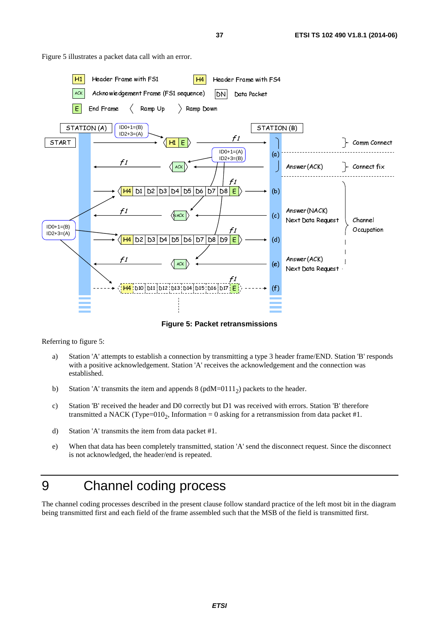

<span id="page-36-0"></span>Figure 5 illustrates a packet data call with an error.

**Figure 5: Packet retransmissions** 

Referring to figure 5:

- a) Station 'A' attempts to establish a connection by transmitting a type 3 header frame/END. Station 'B' responds with a positive acknowledgement. Station 'A' receives the acknowledgement and the connection was established.
- b) Station 'A' transmits the item and appends 8 ( $pdM=0111<sub>2</sub>$ ) packets to the header.
- c) Station 'B' received the header and D0 correctly but D1 was received with errors. Station 'B' therefore transmitted a NACK (Type=010<sub>2</sub>, Information = 0 asking for a retransmission from data packet #1.
- d) Station 'A' transmits the item from data packet #1.
- e) When that data has been completely transmitted, station 'A' send the disconnect request. Since the disconnect is not acknowledged, the header/end is repeated.

## 9 Channel coding process

The channel coding processes described in the present clause follow standard practice of the left most bit in the diagram being transmitted first and each field of the frame assembled such that the MSB of the field is transmitted first.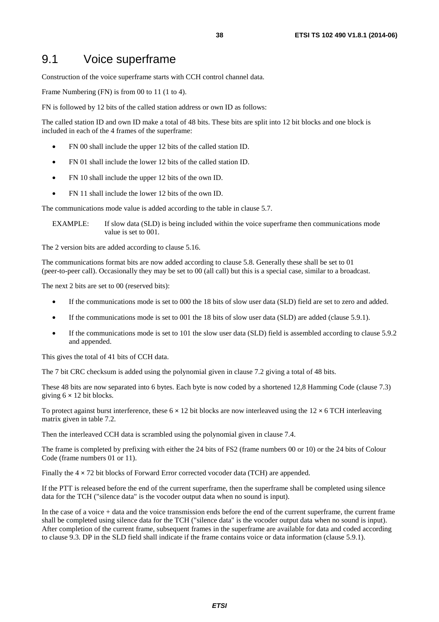## <span id="page-37-0"></span>9.1 Voice superframe

Construction of the voice superframe starts with CCH control channel data.

Frame Numbering (FN) is from 00 to 11 (1 to 4).

FN is followed by 12 bits of the called station address or own ID as follows:

The called station ID and own ID make a total of 48 bits. These bits are split into 12 bit blocks and one block is included in each of the 4 frames of the superframe:

- FN 00 shall include the upper 12 bits of the called station ID.
- FN 01 shall include the lower 12 bits of the called station ID.
- FN 10 shall include the upper 12 bits of the own ID.
- FN 11 shall include the lower 12 bits of the own ID.

The communications mode value is added according to the table in clause 5.7.

EXAMPLE: If slow data (SLD) is being included within the voice superframe then communications mode value is set to 001.

The 2 version bits are added according to clause 5.16.

The communications format bits are now added according to clause 5.8. Generally these shall be set to 01 (peer-to-peer call). Occasionally they may be set to 00 (all call) but this is a special case, similar to a broadcast.

The next 2 bits are set to 00 (reserved bits):

- If the communications mode is set to 000 the 18 bits of slow user data (SLD) field are set to zero and added.
- If the communications mode is set to 001 the 18 bits of slow user data (SLD) are added (clause 5.9.1).
- If the communications mode is set to 101 the slow user data (SLD) field is assembled according to clause 5.9.2 and appended.

This gives the total of 41 bits of CCH data.

The 7 bit CRC checksum is added using the polynomial given in clause 7.2 giving a total of 48 bits.

These 48 bits are now separated into 6 bytes. Each byte is now coded by a shortened 12,8 Hamming Code (clause 7.3) giving  $6 \times 12$  bit blocks.

To protect against burst interference, these  $6 \times 12$  bit blocks are now interleaved using the  $12 \times 6$  TCH interleaving matrix given in table 7.2.

Then the interleaved CCH data is scrambled using the polynomial given in clause 7.4.

The frame is completed by prefixing with either the 24 bits of FS2 (frame numbers 00 or 10) or the 24 bits of Colour Code (frame numbers 01 or 11).

Finally the 4 × 72 bit blocks of Forward Error corrected vocoder data (TCH) are appended.

If the PTT is released before the end of the current superframe, then the superframe shall be completed using silence data for the TCH ("silence data" is the vocoder output data when no sound is input).

In the case of a voice + data and the voice transmission ends before the end of the current superframe, the current frame shall be completed using silence data for the TCH ("silence data" is the vocoder output data when no sound is input). After completion of the current frame, subsequent frames in the superframe are available for data and coded according to clause 9.3. DP in the SLD field shall indicate if the frame contains voice or data information (clause 5.9.1).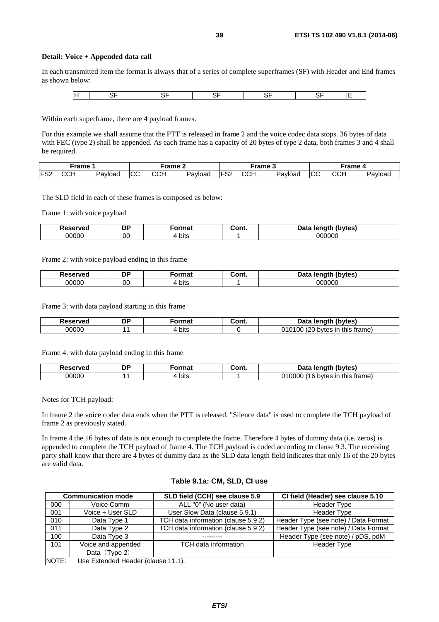#### **Detail: Voice + Appended data call**

In each transmitted item the format is always that of a series of complete superframes (SF) with Header and End frames as shown below:

|--|--|--|--|--|--|--|

Within each superframe, there are 4 payload frames.

For this example we shall assume that the PTT is released in frame 2 and the voice codec data stops. 36 bytes of data with FEC (type 2) shall be appended. As each frame has a capacity of 20 bytes of type 2 data, both frames 3 and 4 shall be required.

|                 | ™rame             |         |            | $\bar{}$ rame $\bar{}$ |         |                         | ⊺rame         | - 11    |              | ™rame    |         |
|-----------------|-------------------|---------|------------|------------------------|---------|-------------------------|---------------|---------|--------------|----------|---------|
| FS <sub>2</sub> | $\sim$<br>, , , , | Pavload | <b>ICC</b> | $\sim$<br><br>. اب     | Pavload | IFS <sub>2</sub><br>ے ت | $\sim$<br>◡◡┍ | Pavload | $\mathbf{u}$ | ימ<br>اب | Pavload |

The SLD field in each of these frames is composed as below:

Frame 1: with voice payload

| Reserved | DE<br>-- | ------<br>ша | ∶ont. | )at<br>'bvtes)<br>$   -$<br>те |
|----------|----------|--------------|-------|--------------------------------|
| 00000    | 00       | bits         |       | 000000                         |

Frame 2: with voice payload ending in this frame

| Reserved | <b>DD</b> | $\sim$<br>rmat<br>uι | Cont. | Data<br>(bytes)<br>. Ienath |
|----------|-----------|----------------------|-------|-----------------------------|
| 00000    | 00        | bits                 |       | 000000                      |

Frame 3: with data payload starting in this frame

| Reserved | DP | ormat.<br>παι | Cont. | Data<br>(bytes)<br>. Ienath                        |
|----------|----|---------------|-------|----------------------------------------------------|
| 00000    |    | bits          |       | $\sqrt{2}$<br>nn.<br>frame)<br>this<br>bytes<br>ın |

Frame 4: with data payload ending in this frame

| Reserved | DF | <br>па | Cont. | Data<br>(bytes)<br>lenath                 |
|----------|----|--------|-------|-------------------------------------------|
| 00000    |    | bits   |       | (16)<br>010000<br>bytes in this<br>trame) |

Notes for TCH payload:

In frame 2 the voice codec data ends when the PTT is released. "Silence data" is used to complete the TCH payload of frame 2 as previously stated.

In frame 4 the 16 bytes of data is not enough to complete the frame. Therefore 4 bytes of dummy data (i.e. zeros) is appended to complete the TCH payload of frame 4. The TCH payload is coded according to clause 9.3. The receiving party shall know that there are 4 bytes of dummy data as the SLD data length field indicates that only 16 of the 20 bytes are valid data.

| <b>Communication mode</b> |                                    | SLD field (CCH) see clause 5.9      | CI field (Header) see clause 5.10    |
|---------------------------|------------------------------------|-------------------------------------|--------------------------------------|
| 000                       | Voice Comm                         | ALL "0" (No user data)              | <b>Header Type</b>                   |
| 001                       | Voice + User SLD                   | User Slow Data (clause 5.9.1)       | <b>Header Type</b>                   |
| 010                       | Data Type 1                        | TCH data information (clause 5.9.2) | Header Type (see note) / Data Format |
| 011                       | Data Type 2                        | TCH data information (clause 5.9.2) | Header Type (see note) / Data Format |
| 100                       | Data Type 3                        |                                     | Header Type (see note) / pDS, pdM    |
| 101                       | Voice and appended                 | TCH data information                | <b>Header Type</b>                   |
|                           | Data (Type 2)                      |                                     |                                      |
| NOTE:                     | Use Extended Header (clause 11.1). |                                     |                                      |

#### **Table 9.1a: CM, SLD, CI use**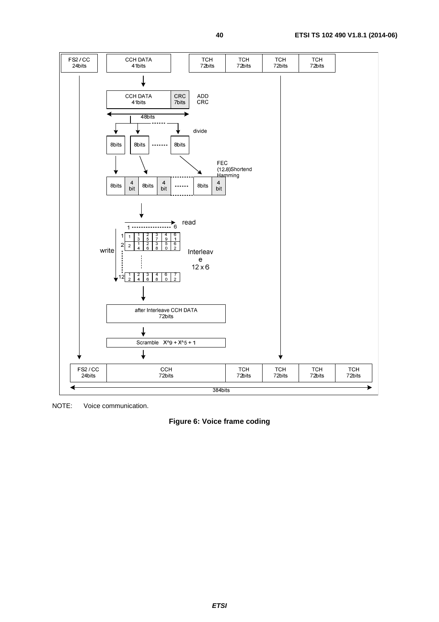

NOTE: Voice communication.

**Figure 6: Voice frame coding**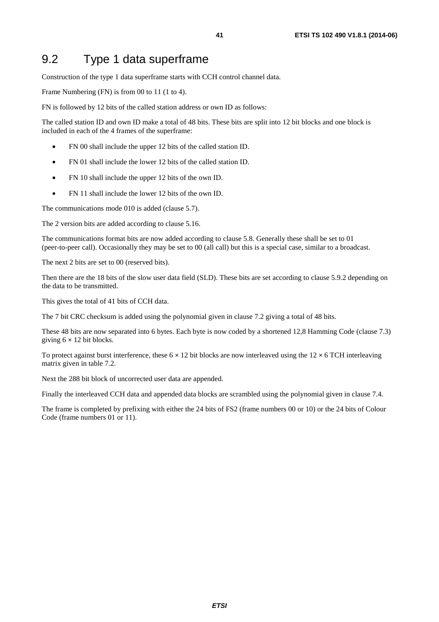## <span id="page-40-0"></span>9.2 Type 1 data superframe

Construction of the type 1 data superframe starts with CCH control channel data.

Frame Numbering (FN) is from 00 to 11 (1 to 4).

FN is followed by 12 bits of the called station address or own ID as follows:

The called station ID and own ID make a total of 48 bits. These bits are split into 12 bit blocks and one block is included in each of the 4 frames of the superframe:

- FN 00 shall include the upper 12 bits of the called station ID.
- FN 01 shall include the lower 12 bits of the called station ID.
- FN 10 shall include the upper 12 bits of the own ID.
- FN 11 shall include the lower 12 bits of the own ID.

The communications mode 010 is added (clause 5.7).

The 2 version bits are added according to clause 5.16.

The communications format bits are now added according to clause 5.8. Generally these shall be set to 01 (peer-to-peer call). Occasionally they may be set to 00 (all call) but this is a special case, similar to a broadcast.

The next 2 bits are set to 00 (reserved bits).

Then there are the 18 bits of the slow user data field (SLD). These bits are set according to clause 5.9.2 depending on the data to be transmitted.

This gives the total of 41 bits of CCH data.

The 7 bit CRC checksum is added using the polynomial given in clause 7.2 giving a total of 48 bits.

These 48 bits are now separated into 6 bytes. Each byte is now coded by a shortened 12,8 Hamming Code (clause 7.3) giving  $6 \times 12$  bit blocks.

To protect against burst interference, these  $6 \times 12$  bit blocks are now interleaved using the  $12 \times 6$  TCH interleaving matrix given in table 7.2.

Next the 288 bit block of uncorrected user data are appended.

Finally the interleaved CCH data and appended data blocks are scrambled using the polynomial given in clause 7.4.

The frame is completed by prefixing with either the 24 bits of FS2 (frame numbers 00 or 10) or the 24 bits of Colour Code (frame numbers 01 or 11).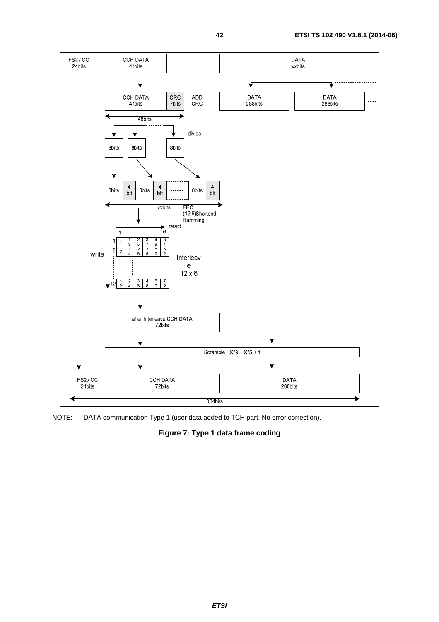

NOTE: DATA communication Type 1 (user data added to TCH part. No error correction).

**Figure 7: Type 1 data frame coding**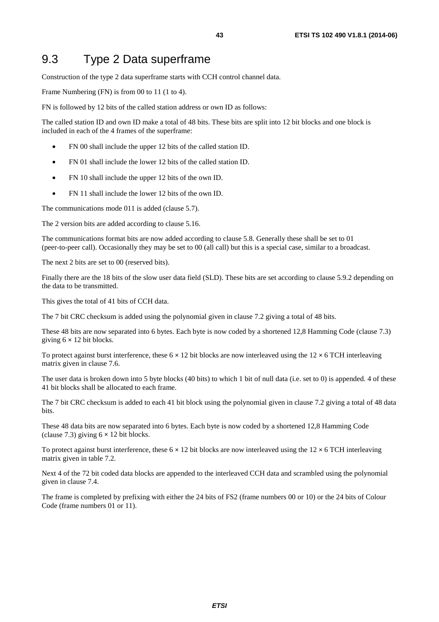## <span id="page-42-0"></span>9.3 Type 2 Data superframe

Construction of the type 2 data superframe starts with CCH control channel data.

Frame Numbering (FN) is from 00 to 11 (1 to 4).

FN is followed by 12 bits of the called station address or own ID as follows:

The called station ID and own ID make a total of 48 bits. These bits are split into 12 bit blocks and one block is included in each of the 4 frames of the superframe:

- FN 00 shall include the upper 12 bits of the called station ID.
- FN 01 shall include the lower 12 bits of the called station ID.
- FN 10 shall include the upper 12 bits of the own ID.
- FN 11 shall include the lower 12 bits of the own ID.

The communications mode 011 is added (clause 5.7).

The 2 version bits are added according to clause 5.16.

The communications format bits are now added according to clause 5.8. Generally these shall be set to 01 (peer-to-peer call). Occasionally they may be set to 00 (all call) but this is a special case, similar to a broadcast.

The next 2 bits are set to 00 (reserved bits).

Finally there are the 18 bits of the slow user data field (SLD). These bits are set according to clause 5.9.2 depending on the data to be transmitted.

This gives the total of 41 bits of CCH data.

The 7 bit CRC checksum is added using the polynomial given in clause 7.2 giving a total of 48 bits.

These 48 bits are now separated into 6 bytes. Each byte is now coded by a shortened 12,8 Hamming Code (clause 7.3) giving  $6 \times 12$  bit blocks.

To protect against burst interference, these  $6 \times 12$  bit blocks are now interleaved using the  $12 \times 6$  TCH interleaving matrix given in clause 7.6.

The user data is broken down into 5 byte blocks (40 bits) to which 1 bit of null data (i.e. set to 0) is appended. 4 of these 41 bit blocks shall be allocated to each frame.

The 7 bit CRC checksum is added to each 41 bit block using the polynomial given in clause 7.2 giving a total of 48 data bits.

These 48 data bits are now separated into 6 bytes. Each byte is now coded by a shortened 12,8 Hamming Code (clause 7.3) giving  $6 \times 12$  bit blocks.

To protect against burst interference, these  $6 \times 12$  bit blocks are now interleaved using the  $12 \times 6$  TCH interleaving matrix given in table 7.2.

Next 4 of the 72 bit coded data blocks are appended to the interleaved CCH data and scrambled using the polynomial given in clause 7.4.

The frame is completed by prefixing with either the 24 bits of FS2 (frame numbers 00 or 10) or the 24 bits of Colour Code (frame numbers 01 or 11).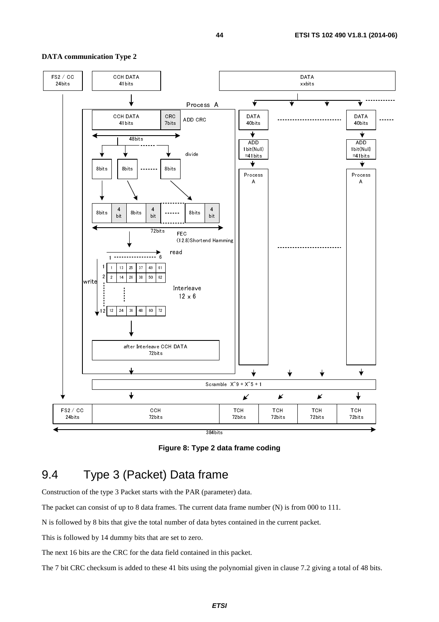<u>. . . . . .</u>



Interleave<br> $12 \times 6$ 

#### <span id="page-43-0"></span>**DATA communication Type 2**

1 2

write

 $\cdot$ 



**Figure 8: Type 2 data frame coding** 

## 9.4 Type 3 (Packet) Data frame

12 24 36 48 60 72

1 13 25 37 49 61 2 14 26 38 50 <del>62</del>

Construction of the type 3 Packet starts with the PAR (parameter) data.

The packet can consist of up to 8 data frames. The current data frame number  $(N)$  is from 000 to 111.

N is followed by 8 bits that give the total number of data bytes contained in the current packet.

This is followed by 14 dummy bits that are set to zero.

The next 16 bits are the CRC for the data field contained in this packet.

The 7 bit CRC checksum is added to these 41 bits using the polynomial given in clause 7.2 giving a total of 48 bits.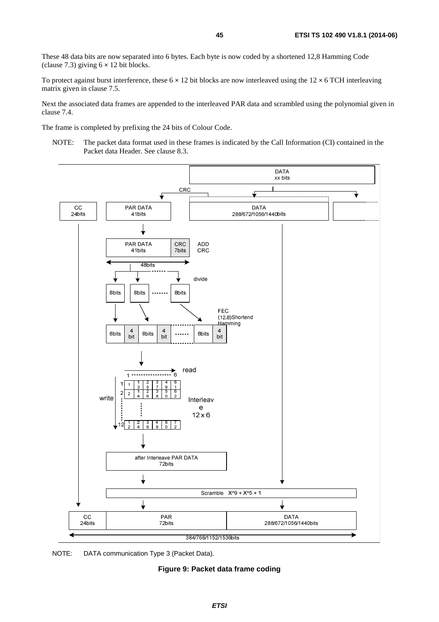These 48 data bits are now separated into 6 bytes. Each byte is now coded by a shortened 12,8 Hamming Code (clause 7.3) giving  $6 \times 12$  bit blocks.

To protect against burst interference, these  $6 \times 12$  bit blocks are now interleaved using the  $12 \times 6$  TCH interleaving matrix given in clause 7.5.

Next the associated data frames are appended to the interleaved PAR data and scrambled using the polynomial given in clause 7.4.

The frame is completed by prefixing the 24 bits of Colour Code.

NOTE: The packet data format used in these frames is indicated by the Call Information (CI) contained in the Packet data Header. See clause 8.3.





**Figure 9: Packet data frame coding**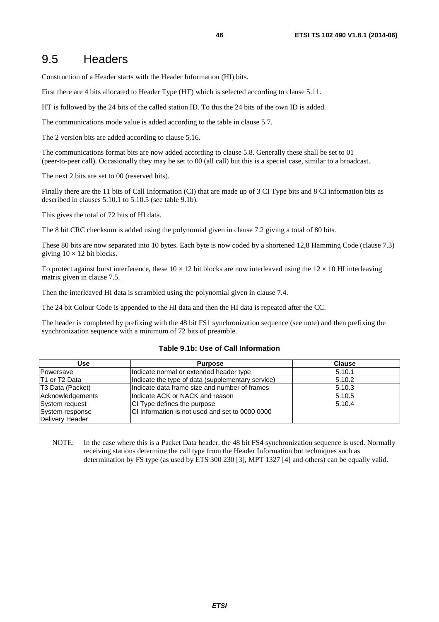### <span id="page-45-0"></span>9.5 Headers

Construction of a Header starts with the Header Information (HI) bits.

First there are 4 bits allocated to Header Type (HT) which is selected according to clause 5.11.

HT is followed by the 24 bits of the called station ID. To this the 24 bits of the own ID is added.

The communications mode value is added according to the table in clause 5.7.

The 2 version bits are added according to clause 5.16.

The communications format bits are now added according to clause 5.8. Generally these shall be set to 01 (peer-to-peer call). Occasionally they may be set to 00 (all call) but this is a special case, similar to a broadcast.

The next 2 bits are set to 00 (reserved bits).

Finally there are the 11 bits of Call Information (CI) that are made up of 3 CI Type bits and 8 CI information bits as described in clauses 5.10.1 to 5.10.5 (see table 9.1b).

This gives the total of 72 bits of HI data.

The 8 bit CRC checksum is added using the polynomial given in clause 7.2 giving a total of 80 bits.

These 80 bits are now separated into 10 bytes. Each byte is now coded by a shortened 12,8 Hamming Code (clause 7.3) giving  $10 \times 12$  bit blocks.

To protect against burst interference, these  $10 \times 12$  bit blocks are now interleaved using the  $12 \times 10$  HI interleaving matrix given in clause 7.5.

Then the interleaved HI data is scrambled using the polynomial given in clause 7.4.

The 24 bit Colour Code is appended to the HI data and then the HI data is repeated after the CC.

The header is completed by prefixing with the 48 bit FS1 synchronization sequence (see note) and then prefixing the synchronization sequence with a minimum of 72 bits of preamble.

| Table 9.1b: Use of Call Information |  |
|-------------------------------------|--|
|-------------------------------------|--|

| <b>Use</b>       | <b>Purpose</b>                                    | <b>Clause</b> |
|------------------|---------------------------------------------------|---------------|
| Powersave        | Indicate normal or extended header type           | 5.10.1        |
| T1 or T2 Data    | Indicate the type of data (supplementary service) | 5.10.2        |
| T3 Data (Packet) | Indicate data frame size and number of frames     | 5.10.3        |
| Acknowledgements | Indicate ACK or NACK and reason                   | 5.10.5        |
| System request   | CI Type defines the purpose                       | 5.10.4        |
| System response  | ICI Information is not used and set to 0000 0000  |               |
| Delivery Header  |                                                   |               |

NOTE: In the case where this is a Packet Data header, the 48 bit FS4 synchronization sequence is used. Normally receiving stations determine the call type from the Header Information but techniques such as determination by FS type (as used by ETS 300 230 [\[3](#page-6-0)], MPT 1327 [\[4](#page-6-0)] and others) can be equally valid.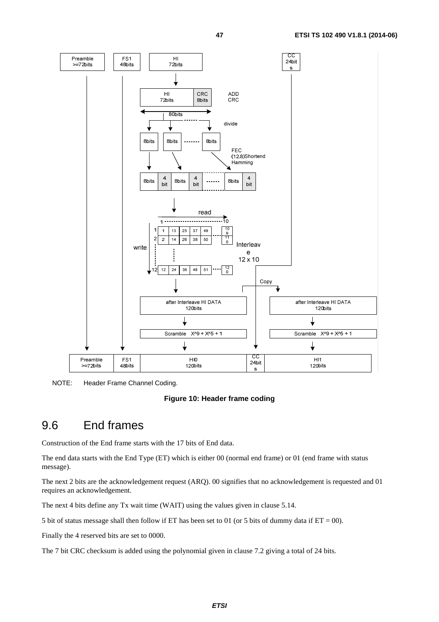<span id="page-46-0"></span>

NOTE: Header Frame Channel Coding.

#### **Figure 10: Header frame coding**

## 9.6 End frames

Construction of the End frame starts with the 17 bits of End data.

The end data starts with the End Type (ET) which is either 00 (normal end frame) or 01 (end frame with status message).

The next 2 bits are the acknowledgement request (ARQ). 00 signifies that no acknowledgement is requested and 01 requires an acknowledgement.

The next 4 bits define any Tx wait time (WAIT) using the values given in clause 5.14.

5 bit of status message shall then follow if ET has been set to 01 (or 5 bits of dummy data if ET = 00).

Finally the 4 reserved bits are set to 0000.

The 7 bit CRC checksum is added using the polynomial given in clause 7.2 giving a total of 24 bits.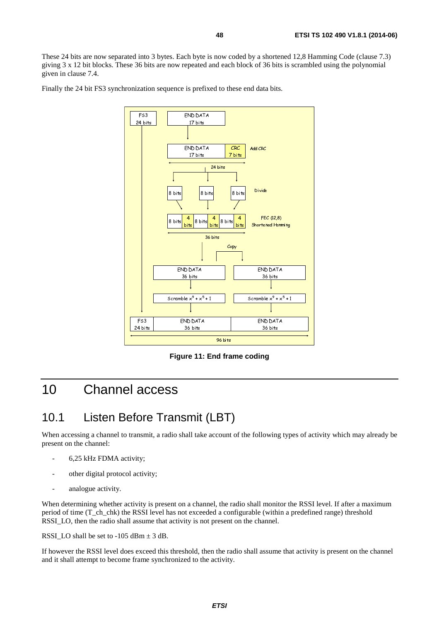<span id="page-47-0"></span>These 24 bits are now separated into 3 bytes. Each byte is now coded by a shortened 12,8 Hamming Code (clause 7.3) giving 3 x 12 bit blocks. These 36 bits are now repeated and each block of 36 bits is scrambled using the polynomial given in clause 7.4.

Finally the 24 bit FS3 synchronization sequence is prefixed to these end data bits.



**Figure 11: End frame coding** 

## 10 Channel access

## 10.1 Listen Before Transmit (LBT)

When accessing a channel to transmit, a radio shall take account of the following types of activity which may already be present on the channel:

- 6,25 kHz FDMA activity;
- other digital protocol activity;
- analogue activity.

When determining whether activity is present on a channel, the radio shall monitor the RSSI level. If after a maximum period of time (T\_ch\_chk) the RSSI level has not exceeded a configurable (within a predefined range) threshold RSSI\_LO, then the radio shall assume that activity is not present on the channel.

RSSI LO shall be set to  $-105$  dBm  $\pm$  3 dB.

If however the RSSI level does exceed this threshold, then the radio shall assume that activity is present on the channel and it shall attempt to become frame synchronized to the activity.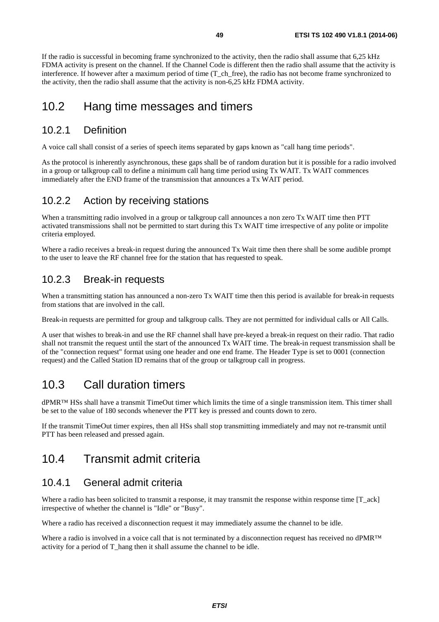<span id="page-48-0"></span>If the radio is successful in becoming frame synchronized to the activity, then the radio shall assume that 6,25 kHz FDMA activity is present on the channel. If the Channel Code is different then the radio shall assume that the activity is interference. If however after a maximum period of time (T\_ch\_free), the radio has not become frame synchronized to the activity, then the radio shall assume that the activity is non-6,25 kHz FDMA activity.

## 10.2 Hang time messages and timers

### 10.2.1 Definition

A voice call shall consist of a series of speech items separated by gaps known as "call hang time periods".

As the protocol is inherently asynchronous, these gaps shall be of random duration but it is possible for a radio involved in a group or talkgroup call to define a minimum call hang time period using Tx WAIT. Tx WAIT commences immediately after the END frame of the transmission that announces a Tx WAIT period.

## 10.2.2 Action by receiving stations

When a transmitting radio involved in a group or talkgroup call announces a non zero Tx WAIT time then PTT activated transmissions shall not be permitted to start during this Tx WAIT time irrespective of any polite or impolite criteria employed.

Where a radio receives a break-in request during the announced Tx Wait time then there shall be some audible prompt to the user to leave the RF channel free for the station that has requested to speak.

### 10.2.3 Break-in requests

When a transmitting station has announced a non-zero Tx WAIT time then this period is available for break-in requests from stations that are involved in the call.

Break-in requests are permitted for group and talkgroup calls. They are not permitted for individual calls or All Calls.

A user that wishes to break-in and use the RF channel shall have pre-keyed a break-in request on their radio. That radio shall not transmit the request until the start of the announced Tx WAIT time. The break-in request transmission shall be of the "connection request" format using one header and one end frame. The Header Type is set to 0001 (connection request) and the Called Station ID remains that of the group or talkgroup call in progress.

## 10.3 Call duration timers

dPMR™ HSs shall have a transmit TimeOut timer which limits the time of a single transmission item. This timer shall be set to the value of 180 seconds whenever the PTT key is pressed and counts down to zero.

If the transmit TimeOut timer expires, then all HSs shall stop transmitting immediately and may not re-transmit until PTT has been released and pressed again.

## 10.4 Transmit admit criteria

### 10.4.1 General admit criteria

Where a radio has been solicited to transmit a response, it may transmit the response within response time [T\_ack] irrespective of whether the channel is "Idle" or "Busy".

Where a radio has received a disconnection request it may immediately assume the channel to be idle.

Where a radio is involved in a voice call that is not terminated by a disconnection request has received no dPMR™ activity for a period of T\_hang then it shall assume the channel to be idle.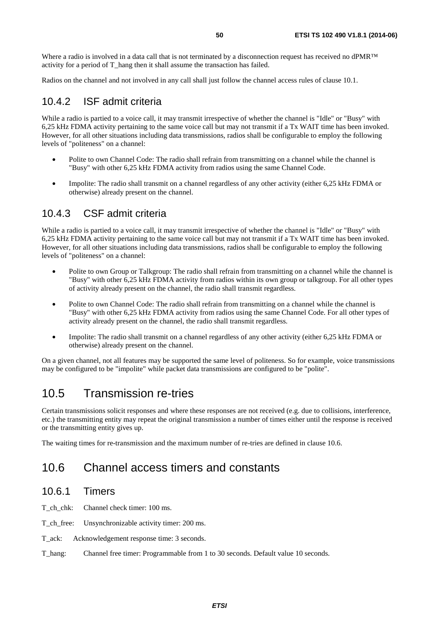<span id="page-49-0"></span>Where a radio is involved in a data call that is not terminated by a disconnection request has received no dPMR<sup>™</sup> activity for a period of T\_hang then it shall assume the transaction has failed.

Radios on the channel and not involved in any call shall just follow the channel access rules of clause 10.1.

### 10.4.2 ISF admit criteria

While a radio is partied to a voice call, it may transmit irrespective of whether the channel is "Idle" or "Busy" with 6,25 kHz FDMA activity pertaining to the same voice call but may not transmit if a Tx WAIT time has been invoked. However, for all other situations including data transmissions, radios shall be configurable to employ the following levels of "politeness" on a channel:

- Polite to own Channel Code: The radio shall refrain from transmitting on a channel while the channel is "Busy" with other 6,25 kHz FDMA activity from radios using the same Channel Code.
- Impolite: The radio shall transmit on a channel regardless of any other activity (either 6,25 kHz FDMA or otherwise) already present on the channel.

### 10.4.3 CSF admit criteria

While a radio is partied to a voice call, it may transmit irrespective of whether the channel is "Idle" or "Busy" with 6,25 kHz FDMA activity pertaining to the same voice call but may not transmit if a Tx WAIT time has been invoked. However, for all other situations including data transmissions, radios shall be configurable to employ the following levels of "politeness" on a channel:

- Polite to own Group or Talkgroup: The radio shall refrain from transmitting on a channel while the channel is "Busy" with other 6,25 kHz FDMA activity from radios within its own group or talkgroup. For all other types of activity already present on the channel, the radio shall transmit regardless.
- Polite to own Channel Code: The radio shall refrain from transmitting on a channel while the channel is "Busy" with other 6,25 kHz FDMA activity from radios using the same Channel Code. For all other types of activity already present on the channel, the radio shall transmit regardless.
- Impolite: The radio shall transmit on a channel regardless of any other activity (either 6,25 kHz FDMA or otherwise) already present on the channel.

On a given channel, not all features may be supported the same level of politeness. So for example, voice transmissions may be configured to be "impolite" while packet data transmissions are configured to be "polite".

## 10.5 Transmission re-tries

Certain transmissions solicit responses and where these responses are not received (e.g. due to collisions, interference, etc.) the transmitting entity may repeat the original transmission a number of times either until the response is received or the transmitting entity gives up.

The waiting times for re-transmission and the maximum number of re-tries are defined in clause 10.6.

## 10.6 Channel access timers and constants

### 10.6.1 Timers

T\_ch\_chk: Channel check timer: 100 ms.

T\_ch\_free: Unsynchronizable activity timer: 200 ms.

T\_ack: Acknowledgement response time: 3 seconds.

T\_hang: Channel free timer: Programmable from 1 to 30 seconds. Default value 10 seconds.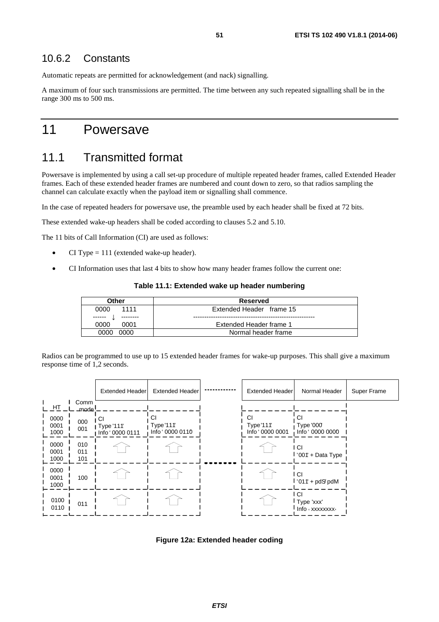### <span id="page-50-0"></span>10.6.2 Constants

Automatic repeats are permitted for acknowledgement (and nack) signalling.

A maximum of four such transmissions are permitted. The time between any such repeated signalling shall be in the range 300 ms to 500 ms.

## 11 Powersave

## 11.1 Transmitted format

Powersave is implemented by using a call set-up procedure of multiple repeated header frames, called Extended Header frames. Each of these extended header frames are numbered and count down to zero, so that radios sampling the channel can calculate exactly when the payload item or signalling shall commence.

In the case of repeated headers for powersave use, the preamble used by each header shall be fixed at 72 bits.

These extended wake-up headers shall be coded according to clauses 5.2 and 5.10.

The 11 bits of Call Information (CI) are used as follows:

- CI Type  $= 111$  (extended wake-up header).
- CI Information uses that last 4 bits to show how many header frames follow the current one:

**Table 11.1: Extended wake up header numbering** 

| Other        | Reserved                 |
|--------------|--------------------------|
| 1111<br>0000 | Extended Header frame 15 |
| ------       |                          |
| 0000<br>0001 | Extended Header frame 1  |
| იიიი<br>ററററ | Normal header frame      |

Radios can be programmed to use up to 15 extended header frames for wake-up purposes. This shall give a maximum response time of 1,2 seconds.



**Figure 12a: Extended header coding**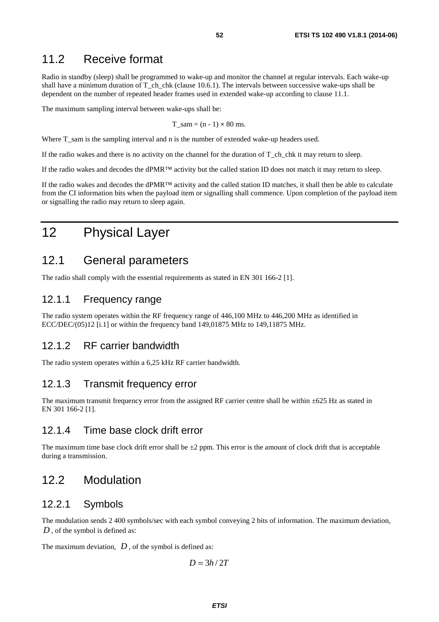### <span id="page-51-0"></span>11.2 Receive format

Radio in standby (sleep) shall be programmed to wake-up and monitor the channel at regular intervals. Each wake-up shall have a minimum duration of  $T$  ch chk (clause 10.6.1). The intervals between successive wake-ups shall be dependent on the number of repeated header frames used in extended wake-up according to clause 11.1.

The maximum sampling interval between wake-ups shall be:

T\_sam =  $(n - 1) \times 80$  ms.

Where T\_sam is the sampling interval and n is the number of extended wake-up headers used.

If the radio wakes and there is no activity on the channel for the duration of T\_ch\_chk it may return to sleep.

If the radio wakes and decodes the dPMR™ activity but the called station ID does not match it may return to sleep.

If the radio wakes and decodes the dPMR<sup>™</sup> activity and the called station ID matches, it shall then be able to calculate from the CI information bits when the payload item or signalling shall commence. Upon completion of the payload item or signalling the radio may return to sleep again.

## 12 Physical Layer

### 12.1 General parameters

The radio shall comply with the essential requirements as stated in EN 301 166-2 [\[1](#page-6-0)].

### 12.1.1 Frequency range

The radio system operates within the RF frequency range of 446,100 MHz to 446,200 MHz as identified in ECC/DEC/ $(05)12$  [\[i.1](#page-6-0)] or within the frequency band 149,01875 MHz to 149,11875 MHz.

### 12.1.2 RF carrier bandwidth

The radio system operates within a 6,25 kHz RF carrier bandwidth.

### 12.1.3 Transmit frequency error

The maximum transmit frequency error from the assigned RF carrier centre shall be within  $\pm 625$  Hz as stated in EN 301 166-2 [\[1](#page-6-0)].

### 12.1.4 Time base clock drift error

The maximum time base clock drift error shall be  $\pm 2$  ppm. This error is the amount of clock drift that is acceptable during a transmission.

### 12.2 Modulation

### 12.2.1 Symbols

The modulation sends 2 400 symbols/sec with each symbol conveying 2 bits of information. The maximum deviation, *D*, of the symbol is defined as:

The maximum deviation,  $D$ , of the symbol is defined as:

 $D = 3h/2T$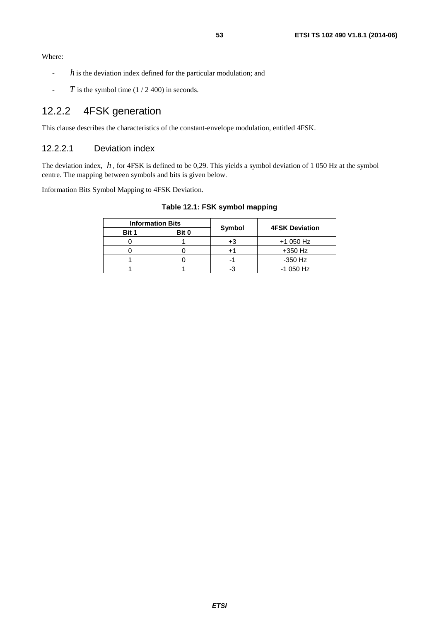<span id="page-52-0"></span>Where:

- *h* is the deviation index defined for the particular modulation; and
- $T$  is the symbol time  $(1/2, 400)$  in seconds.

## 12.2.2 4FSK generation

This clause describes the characteristics of the constant-envelope modulation, entitled 4FSK.

### 12.2.2.1 Deviation index

The deviation index, *h* , for 4FSK is defined to be 0,29. This yields a symbol deviation of 1 050 Hz at the symbol centre. The mapping between symbols and bits is given below.

Information Bits Symbol Mapping to 4FSK Deviation.

| <b>Information Bits</b> |       |        |                       |
|-------------------------|-------|--------|-----------------------|
| Bit 1                   | Bit 0 | Symbol | <b>4FSK Deviation</b> |
|                         |       |        | +1 050 Hz             |
|                         |       |        | +350 Hz               |
|                         |       |        | $-350$ Hz             |
|                         |       |        | -1 050 Hz             |

### **Table 12.1: FSK symbol mapping**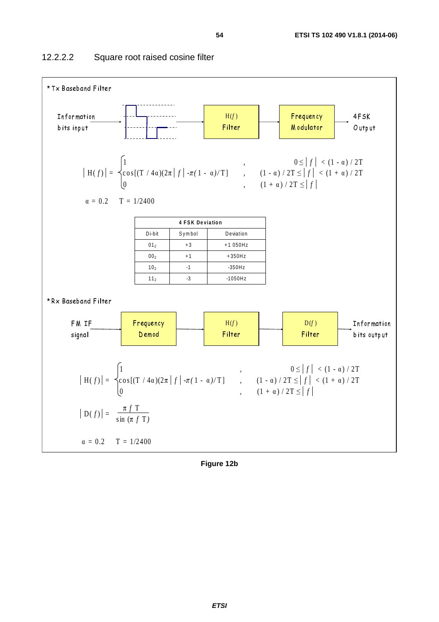<span id="page-53-0"></span>

### 12.2.2.2 Square root raised cosine filter

**Figure 12b**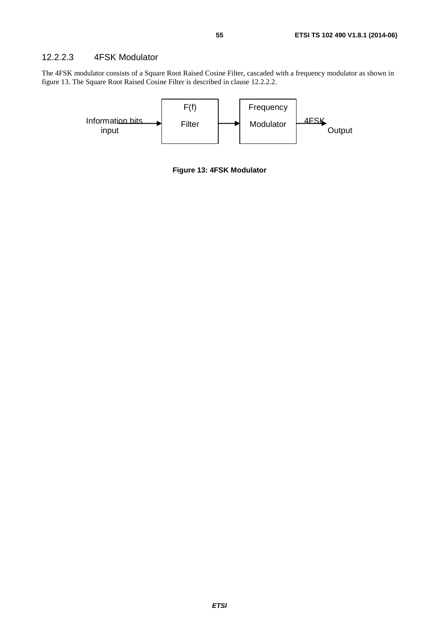### <span id="page-54-0"></span>12.2.2.3 4FSK Modulator

The 4FSK modulator consists of a Square Root Raised Cosine Filter, cascaded with a frequency modulator as shown in figure 13. The Square Root Raised Cosine Filter is described in clause 12.2.2.2.



**Figure 13: 4FSK Modulator**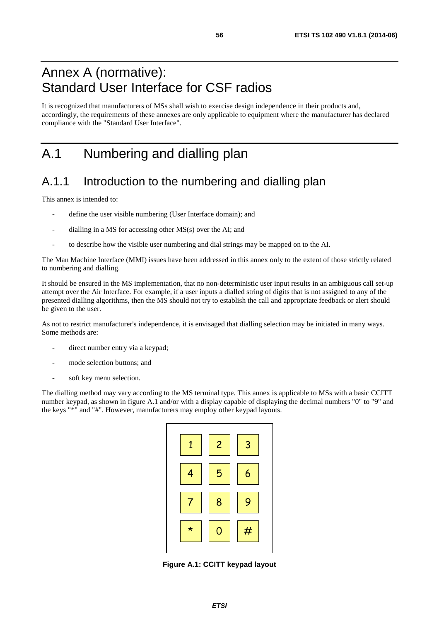## <span id="page-55-0"></span>Annex A (normative): Standard User Interface for CSF radios

It is recognized that manufacturers of MSs shall wish to exercise design independence in their products and, accordingly, the requirements of these annexes are only applicable to equipment where the manufacturer has declared compliance with the "Standard User Interface".

## A.1 Numbering and dialling plan

## A.1.1 Introduction to the numbering and dialling plan

This annex is intended to:

- define the user visible numbering (User Interface domain); and
- dialling in a MS for accessing other  $MS(s)$  over the AI; and
- to describe how the visible user numbering and dial strings may be mapped on to the AI.

The Man Machine Interface (MMI) issues have been addressed in this annex only to the extent of those strictly related to numbering and dialling.

It should be ensured in the MS implementation, that no non-deterministic user input results in an ambiguous call set-up attempt over the Air Interface. For example, if a user inputs a dialled string of digits that is not assigned to any of the presented dialling algorithms, then the MS should not try to establish the call and appropriate feedback or alert should be given to the user.

As not to restrict manufacturer's independence, it is envisaged that dialling selection may be initiated in many ways. Some methods are:

- direct number entry via a keypad;
- mode selection buttons; and
- soft key menu selection.

The dialling method may vary according to the MS terminal type. This annex is applicable to MSs with a basic CCITT number keypad, as shown in figure A.1 and/or with a display capable of displaying the decimal numbers "0" to "9" and the keys "\*" and "#". However, manufacturers may employ other keypad layouts.

|   | $\overline{c}$ | $\mathbf{3}$ |
|---|----------------|--------------|
|   | 5              | 6            |
|   | 8              | 9            |
| × | 0              | #            |

**Figure A.1: CCITT keypad layout**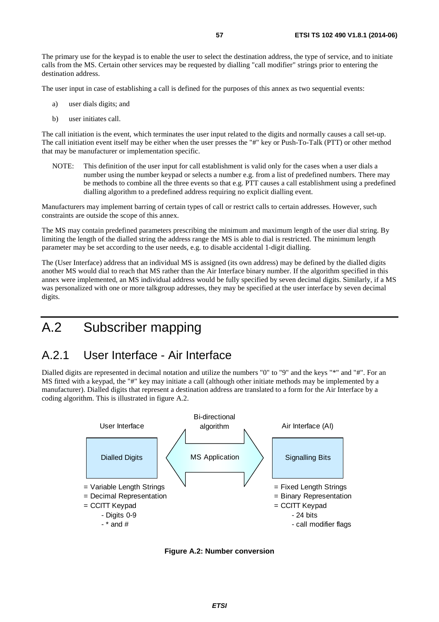<span id="page-56-0"></span>The primary use for the keypad is to enable the user to select the destination address, the type of service, and to initiate calls from the MS. Certain other services may be requested by dialling "call modifier" strings prior to entering the destination address.

The user input in case of establishing a call is defined for the purposes of this annex as two sequential events:

- a) user dials digits; and
- b) user initiates call.

The call initiation is the event, which terminates the user input related to the digits and normally causes a call set-up. The call initiation event itself may be either when the user presses the "#" key or Push-To-Talk (PTT) or other method that may be manufacturer or implementation specific.

NOTE: This definition of the user input for call establishment is valid only for the cases when a user dials a number using the number keypad or selects a number e.g. from a list of predefined numbers. There may be methods to combine all the three events so that e.g. PTT causes a call establishment using a predefined dialling algorithm to a predefined address requiring no explicit dialling event.

Manufacturers may implement barring of certain types of call or restrict calls to certain addresses. However, such constraints are outside the scope of this annex.

The MS may contain predefined parameters prescribing the minimum and maximum length of the user dial string. By limiting the length of the dialled string the address range the MS is able to dial is restricted. The minimum length parameter may be set according to the user needs, e.g. to disable accidental 1-digit dialling.

The (User Interface) address that an individual MS is assigned (its own address) may be defined by the dialled digits another MS would dial to reach that MS rather than the Air Interface binary number. If the algorithm specified in this annex were implemented, an MS individual address would be fully specified by seven decimal digits. Similarly, if a MS was personalized with one or more talkgroup addresses, they may be specified at the user interface by seven decimal digits.

## A.2 Subscriber mapping

## A.2.1 User Interface - Air Interface

Dialled digits are represented in decimal notation and utilize the numbers "0" to "9" and the keys "\*" and "#". For an MS fitted with a keypad, the "#" key may initiate a call (although other initiate methods may be implemented by a manufacturer). Dialled digits that represent a destination address are translated to a form for the Air Interface by a coding algorithm. This is illustrated in figure A.2.



**Figure A.2: Number conversion**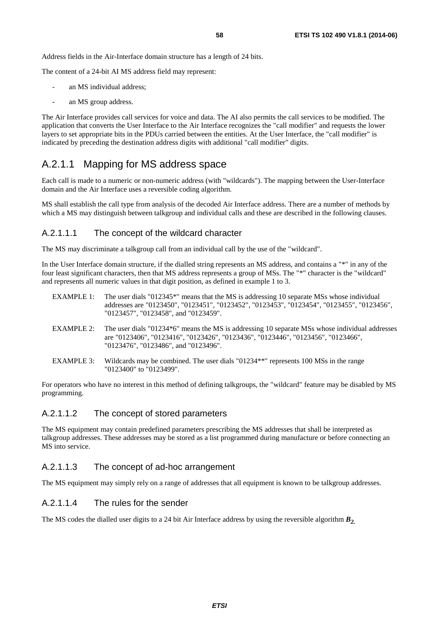<span id="page-57-0"></span>The content of a 24-bit AI MS address field may represent:

- an MS individual address:
- an MS group address.

The Air Interface provides call services for voice and data. The AI also permits the call services to be modified. The application that converts the User Interface to the Air Interface recognizes the "call modifier" and requests the lower layers to set appropriate bits in the PDUs carried between the entities. At the User Interface, the "call modifier" is indicated by preceding the destination address digits with additional "call modifier" digits.

### A.2.1.1 Mapping for MS address space

Each call is made to a numeric or non-numeric address (with "wildcards"). The mapping between the User-Interface domain and the Air Interface uses a reversible coding algorithm.

MS shall establish the call type from analysis of the decoded Air Interface address. There are a number of methods by which a MS may distinguish between talkgroup and individual calls and these are described in the following clauses.

### A.2.1.1.1 The concept of the wildcard character

The MS may discriminate a talkgroup call from an individual call by the use of the "wildcard".

In the User Interface domain structure, if the dialled string represents an MS address, and contains a "\*" in any of the four least significant characters, then that MS address represents a group of MSs. The "\*" character is the "wildcard" and represents all numeric values in that digit position, as defined in example 1 to 3.

- EXAMPLE 1: The user dials "012345<sup>\*</sup>" means that the MS is addressing 10 separate MSs whose individual addresses are "0123450", "0123451", "0123452", "0123453", "0123454", "0123455", "0123456", "0123457", "0123458", and "0123459".
- EXAMPLE 2: The user dials "01234\*6" means the MS is addressing 10 separate MSs whose individual addresses are "0123406", "0123416", "0123426", "0123436", "0123446", "0123456", "0123466", "0123476", "0123486", and "0123496".
- EXAMPLE 3: Wildcards may be combined. The user dials "01234<sup>\*\*</sup>" represents 100 MSs in the range "0123400" to "0123499".

For operators who have no interest in this method of defining talkgroups, the "wildcard" feature may be disabled by MS programming.

### A.2.1.1.2 The concept of stored parameters

The MS equipment may contain predefined parameters prescribing the MS addresses that shall be interpreted as talkgroup addresses. These addresses may be stored as a list programmed during manufacture or before connecting an MS into service.

### A.2.1.1.3 The concept of ad-hoc arrangement

The MS equipment may simply rely on a range of addresses that all equipment is known to be talkgroup addresses.

### A.2.1.1.4 The rules for the sender

The MS codes the dialled user digits to a 24 bit Air Interface address by using the reversible algorithm  $B_2$ .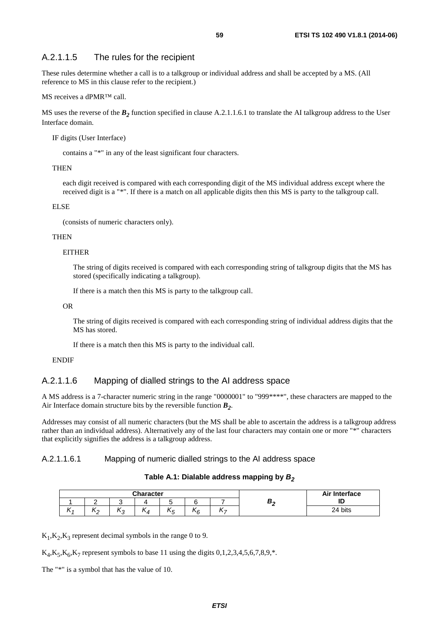### <span id="page-58-0"></span>A.2.1.1.5 The rules for the recipient

These rules determine whether a call is to a talkgroup or individual address and shall be accepted by a MS. (All reference to MS in this clause refer to the recipient.)

MS receives a dPMR™ call.

MS uses the reverse of the  $B_2$  function specified in clause A.2.1.1.6.1 to translate the AI talkgroup address to the User Interface domain.

#### IF digits (User Interface)

contains a "\*" in any of the least significant four characters.

#### **THEN**

each digit received is compared with each corresponding digit of the MS individual address except where the received digit is a "\*". If there is a match on all applicable digits then this MS is party to the talkgroup call.

#### ELSE

(consists of numeric characters only).

#### **THEN**

#### EITHER

The string of digits received is compared with each corresponding string of talkgroup digits that the MS has stored (specifically indicating a talkgroup).

If there is a match then this MS is party to the talkgroup call.

OR

The string of digits received is compared with each corresponding string of individual address digits that the MS has stored.

If there is a match then this MS is party to the individual call.

#### ENDIF

### A.2.1.1.6 Mapping of dialled strings to the AI address space

A MS address is a 7-character numeric string in the range "0000001" to "999\*\*\*\*", these characters are mapped to the Air Interface domain structure bits by the reversible function  $B_2$ .

Addresses may consist of all numeric characters (but the MS shall be able to ascertain the address is a talkgroup address rather than an individual address). Alternatively any of the last four characters may contain one or more "\*" characters that explicitly signifies the address is a talkgroup address.

#### A.2.1.1.6.1 Mapping of numeric dialled strings to the AI address space

#### Table A.1: Dialable address mapping by  $B_2$

| <b>Character</b> |             |     |                      |               |           |  |   | Air Interface |
|------------------|-------------|-----|----------------------|---------------|-----------|--|---|---------------|
|                  |             |     |                      |               |           |  | - | שו            |
|                  | $\sim$<br>- | . . | . .<br>$\mathcal{A}$ | . .<br>∖շ<br> | . .<br>٦۵ |  |   | 24 bits       |

 $K_1, K_2, K_3$  represent decimal symbols in the range 0 to 9.

 $K_4, K_5, K_6, K_7$  represent symbols to base 11 using the digits 0,1,2,3,4,5,6,7,8,9, $*$ .

The "\*" is a symbol that has the value of 10.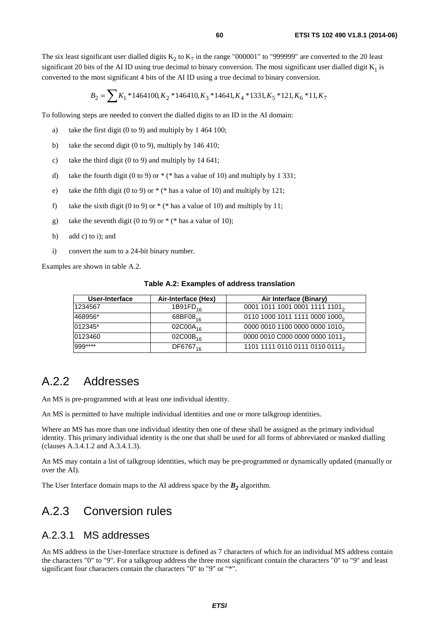<span id="page-59-0"></span>The six least significant user dialled digits  $K_2$  to  $K_7$  in the range "000001" to "999999" are converted to the 20 least significant 20 bits of the AI ID using true decimal to binary conversion. The most significant user dialled digit  $K_1$  is converted to the most significant 4 bits of the AI ID using a true decimal to binary conversion.

$$
B_2=\sum K_1*1464100, K_2*146410, K_3*14641, K_4*1331, K_5*121, K_6*11, K_7
$$

To following steps are needed to convert the dialled digits to an ID in the AI domain:

- a) take the first digit  $(0 to 9)$  and multiply by 1 464 100;
- b) take the second digit (0 to 9), multiply by 146 410;
- c) take the third digit  $(0 to 9)$  and multiply by 14 641;
- d) take the fourth digit (0 to 9) or  $*(*$  has a value of 10) and multiply by 1 331;
- e) take the fifth digit (0 to 9) or  $*(\ast)$  has a value of 10) and multiply by 121;
- f) take the sixth digit (0 to 9) or  $*(\ast)$  has a value of 10) and multiply by 11;
- g) take the seventh digit (0 to 9) or  $*(\ast)$  has a value of 10);
- h) add c) to i); and
- i) convert the sum to a 24-bit binary number.

Examples are shown in table A.2.

| Table A.2: Examples of address translation |  |
|--------------------------------------------|--|
|                                            |  |

| User-Interface | Air-Interface (Hex)  | Air Interface (Binary)                     |
|----------------|----------------------|--------------------------------------------|
| 1234567        | 1B91FD <sub>16</sub> | 0001 1011 1001 0001 1111 1101 <sub>2</sub> |
| 468956*        | 68BF08 <sub>16</sub> | 0110 1000 1011 1111 0000 1000,             |
| 012345*        | $02CO0A_{16}$        | 0000 0010 1100 0000 0000 1010 <sub>2</sub> |
| 0123460        | $02CO0B_{16}$        | 0000 0010 C000 0000 0000 1011 <sub>2</sub> |
| 999****        | DF6767 <sub>16</sub> | 1101 1111 0110 0111 0110 0111,             |

## A.2.2 Addresses

An MS is pre-programmed with at least one individual identity.

An MS is permitted to have multiple individual identities and one or more talkgroup identities.

Where an MS has more than one individual identity then one of these shall be assigned as the primary individual identity. This primary individual identity is the one that shall be used for all forms of abbreviated or masked dialling (clauses A.3.4.1.2 and A.3.4.1.3).

An MS may contain a list of talkgroup identities, which may be pre-programmed or dynamically updated (manually or over the AI).

The User Interface domain maps to the AI address space by the  $B_2$  algorithm.

## A.2.3 Conversion rules

### A.2.3.1 MS addresses

An MS address in the User-Interface structure is defined as 7 characters of which for an individual MS address contain the characters "0" to "9". For a talkgroup address the three most significant contain the characters "0" to "9" and least significant four characters contain the characters "0" to "9" or "\*".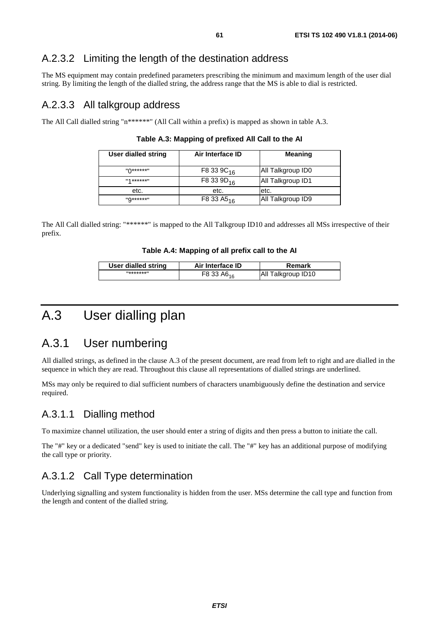## <span id="page-60-0"></span>A.2.3.2 Limiting the length of the destination address

The MS equipment may contain predefined parameters prescribing the minimum and maximum length of the user dial string. By limiting the length of the dialled string, the address range that the MS is able to dial is restricted.

### A.2.3.3 All talkgroup address

The All Call dialled string "n\*\*\*\*\*\*" (All Call within a prefix) is mapped as shown in table A.3.

| <b>User dialled string</b> | Air Interface ID       | <b>Meaning</b>    |
|----------------------------|------------------------|-------------------|
| $\mathsf{M}$ ******        | F8 33 9C <sub>16</sub> | All Talkgroup ID0 |
| $   4 * * * * * *   $      | F8 33 9D <sub>16</sub> | All Talkgroup ID1 |
| etc.                       | etc.                   | etc.              |
| $"Q******"$                | F8 33 A5 <sub>16</sub> | All Talkgroup ID9 |

**Table A.3: Mapping of prefixed All Call to the AI** 

The All Call dialled string: "\*\*\*\*\*\*" is mapped to the All Talkgroup ID10 and addresses all MSs irrespective of their prefix.

**Table A.4: Mapping of all prefix call to the AI** 

| <b>User dialled string</b> | Air Interface ID       | Remark             |
|----------------------------|------------------------|--------------------|
| $11+11+11$                 | F8 33 A6 <sub>16</sub> | All Talkgroup ID10 |

## A.3 User dialling plan

## A.3.1 User numbering

All dialled strings, as defined in the clause A.3 of the present document, are read from left to right and are dialled in the sequence in which they are read. Throughout this clause all representations of dialled strings are underlined.

MSs may only be required to dial sufficient numbers of characters unambiguously define the destination and service required.

### A.3.1.1 Dialling method

To maximize channel utilization, the user should enter a string of digits and then press a button to initiate the call.

The "#" key or a dedicated "send" key is used to initiate the call. The "#" key has an additional purpose of modifying the call type or priority.

### A.3.1.2 Call Type determination

Underlying signalling and system functionality is hidden from the user. MSs determine the call type and function from the length and content of the dialled string.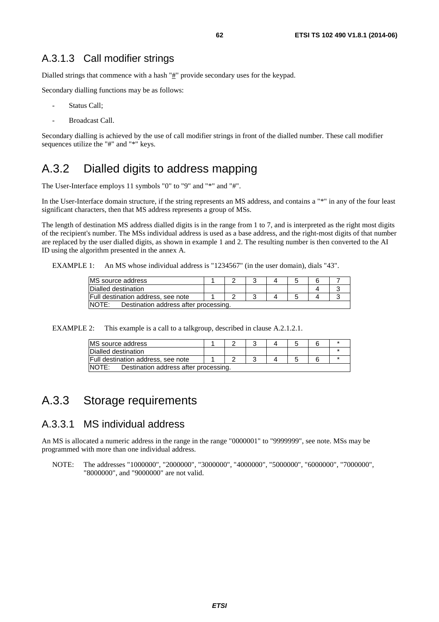### <span id="page-61-0"></span>A.3.1.3 Call modifier strings

Dialled strings that commence with a hash " $#$ " provide secondary uses for the keypad.

Secondary dialling functions may be as follows:

- Status Call;
- Broadcast Call.

Secondary dialling is achieved by the use of call modifier strings in front of the dialled number. These call modifier sequences utilize the "#" and "\*" keys.

## A.3.2 Dialled digits to address mapping

The User-Interface employs 11 symbols "0" to "9" and "\*" and "#".

In the User-Interface domain structure, if the string represents an MS address, and contains a "\*" in any of the four least significant characters, then that MS address represents a group of MSs.

The length of destination MS address dialled digits is in the range from 1 to 7, and is interpreted as the right most digits of the recipient's number. The MSs individual address is used as a base address, and the right-most digits of that number are replaced by the user dialled digits, as shown in example 1 and 2. The resulting number is then converted to the AI ID using the algorithm presented in the annex A.

EXAMPLE 1: An MS whose individual address is "1234567" (in the user domain), dials "43".

| MS source address                              |  |  |  |  |  |  |
|------------------------------------------------|--|--|--|--|--|--|
| Dialled destination                            |  |  |  |  |  |  |
| Full destination address, see note             |  |  |  |  |  |  |
| NOTE:<br>Destination address after processing. |  |  |  |  |  |  |

EXAMPLE 2: This example is a call to a talkgroup, described in clause A.2.1.2.1.

| MS source address                                     |  |  |  |  |  |  |
|-------------------------------------------------------|--|--|--|--|--|--|
| Dialled destination                                   |  |  |  |  |  |  |
| Full destination address, see note                    |  |  |  |  |  |  |
| <b>NOTE:</b><br>Destination address after processing. |  |  |  |  |  |  |

## A.3.3 Storage requirements

### A.3.3.1 MS individual address

An MS is allocated a numeric address in the range in the range "0000001" to "9999999", see note. MSs may be programmed with more than one individual address.

NOTE: The addresses "1000000", "2000000", "3000000", "4000000", "5000000", "6000000", "7000000", "8000000", and "9000000" are not valid.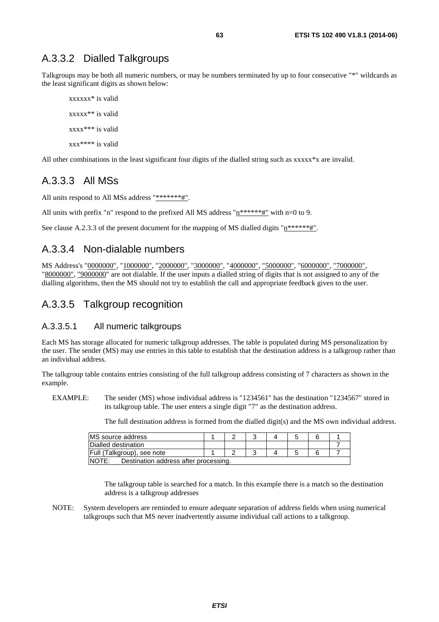### <span id="page-62-0"></span>A.3.3.2 Dialled Talkgroups

Talkgroups may be both all numeric numbers, or may be numbers terminated by up to four consecutive "\*" wildcards as the least significant digits as shown below:

xxxxxx\* is valid xxxxx\*\* is valid xxxx\*\*\* is valid xxx\*\*\*\* is valid

All other combinations in the least significant four digits of the dialled string such as  $xxxxx*x$  are invalid.

### A.3.3.3 All MSs

All units respond to All MSs address "\*\*\*\*\*\*\*#".

All units with prefix "n" respond to the prefixed All MS address "n\*\*\*\*\*\*#" with n=0 to 9.

See clause A.2.3.3 of the present document for the mapping of MS dialled digits " $n^{*****}\#$ ".

### A.3.3.4 Non-dialable numbers

MS Address's "0000000", "1000000", "2000000", "3000000", "4000000", "5000000", "6000000", "7000000", "8000000", "9000000" are not dialable. If the user inputs a dialled string of digits that is not assigned to any of the dialling algorithms, then the MS should not try to establish the call and appropriate feedback given to the user.

### A.3.3.5 Talkgroup recognition

### A.3.3.5.1 All numeric talkgroups

Each MS has storage allocated for numeric talkgroup addresses. The table is populated during MS personalization by the user. The sender (MS) may use entries in this table to establish that the destination address is a talkgroup rather than an individual address.

The talkgroup table contains entries consisting of the full talkgroup address consisting of 7 characters as shown in the example.

EXAMPLE: The sender (MS) whose individual address is "1234561" has the destination "1234567" stored in its talkgroup table. The user enters a single digit "7" as the destination address.

The full destination address is formed from the dialled digit(s) and the MS own individual address.

| MS source address                              |  |  |  |  |  |  |
|------------------------------------------------|--|--|--|--|--|--|
| Dialled destination                            |  |  |  |  |  |  |
| Full (Talkgroup), see note                     |  |  |  |  |  |  |
| Destination address after processing.<br>NOTE: |  |  |  |  |  |  |

The talkgroup table is searched for a match. In this example there is a match so the destination address is a talkgroup addresses

NOTE: System developers are reminded to ensure adequate separation of address fields when using numerical talkgroups such that MS never inadvertently assume individual call actions to a talkgroup.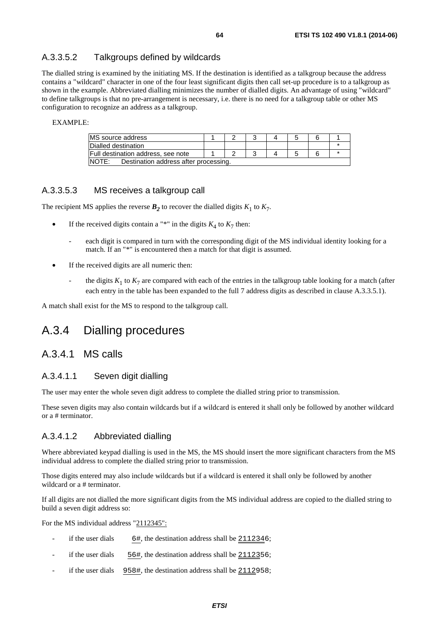### <span id="page-63-0"></span>A.3.3.5.2 Talkgroups defined by wildcards

The dialled string is examined by the initiating MS. If the destination is identified as a talkgroup because the address contains a "wildcard" character in one of the four least significant digits then call set-up procedure is to a talkgroup as shown in the example. Abbreviated dialling minimizes the number of dialled digits. An advantage of using "wildcard" to define talkgroups is that no pre-arrangement is necessary, i.e. there is no need for a talkgroup table or other MS configuration to recognize an address as a talkgroup.

#### EXAMPLE:

| MS source address                                     |  |  |  |  |  |  |
|-------------------------------------------------------|--|--|--|--|--|--|
| Dialled destination                                   |  |  |  |  |  |  |
| Full destination address, see note                    |  |  |  |  |  |  |
| <b>NOTE:</b><br>Destination address after processing. |  |  |  |  |  |  |

### A.3.3.5.3 MS receives a talkgroup call

The recipient MS applies the reverse  $\mathbf{B}_2$  to recover the dialled digits  $K_1$  to  $K_2$ .

- If the received digits contain a "\*" in the digits  $K_4$  to  $K_7$  then:
	- each digit is compared in turn with the corresponding digit of the MS individual identity looking for a match. If an "\*" is encountered then a match for that digit is assumed.
- If the received digits are all numeric then:
	- the digits  $K_1$  to  $K_7$  are compared with each of the entries in the talkgroup table looking for a match (after each entry in the table has been expanded to the full 7 address digits as described in clause A.3.3.5.1).

A match shall exist for the MS to respond to the talkgroup call.

## A.3.4 Dialling procedures

### A.3.4.1 MS calls

### A.3.4.1.1 Seven digit dialling

The user may enter the whole seven digit address to complete the dialled string prior to transmission.

These seven digits may also contain wildcards but if a wildcard is entered it shall only be followed by another wildcard or a # terminator.

### A.3.4.1.2 Abbreviated dialling

Where abbreviated keypad dialling is used in the MS, the MS should insert the more significant characters from the MS individual address to complete the dialled string prior to transmission.

Those digits entered may also include wildcards but if a wildcard is entered it shall only be followed by another wildcard or a # terminator.

If all digits are not dialled the more significant digits from the MS individual address are copied to the dialled string to build a seven digit address so:

For the MS individual address "2112345":

- if the user dials  $6\#$ , the destination address shall be 2112346;
- if the user dials  $56\text{#}$ , the destination address shall be 2112356;
- if the user dials 958#, the destination address shall be  $2112958$ ;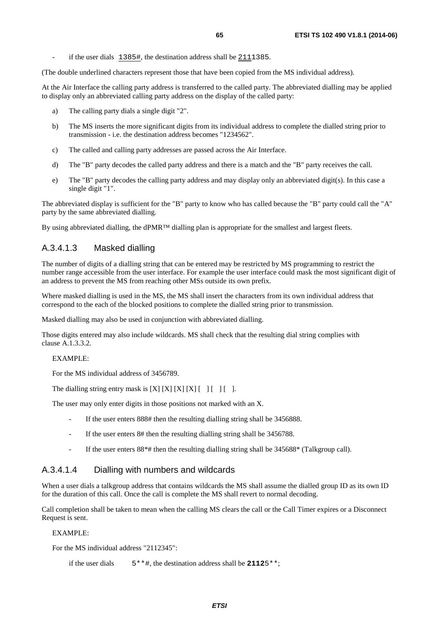<span id="page-64-0"></span>if the user dials  $1385$ #, the destination address shall be  $2111385$ .

(The double underlined characters represent those that have been copied from the MS individual address).

At the Air Interface the calling party address is transferred to the called party. The abbreviated dialling may be applied to display only an abbreviated calling party address on the display of the called party:

- a) The calling party dials a single digit "2".
- b) The MS inserts the more significant digits from its individual address to complete the dialled string prior to transmission - i.e. the destination address becomes "1234562".
- c) The called and calling party addresses are passed across the Air Interface.
- d) The "B" party decodes the called party address and there is a match and the "B" party receives the call.
- e) The "B" party decodes the calling party address and may display only an abbreviated digit(s). In this case a single digit "1".

The abbreviated display is sufficient for the "B" party to know who has called because the "B" party could call the "A" party by the same abbreviated dialling.

By using abbreviated dialling, the dPMR™ dialling plan is appropriate for the smallest and largest fleets.

### A.3.4.1.3 Masked dialling

The number of digits of a dialling string that can be entered may be restricted by MS programming to restrict the number range accessible from the user interface. For example the user interface could mask the most significant digit of an address to prevent the MS from reaching other MSs outside its own prefix.

Where masked dialling is used in the MS, the MS shall insert the characters from its own individual address that correspond to the each of the blocked positions to complete the dialled string prior to transmission.

Masked dialling may also be used in conjunction with abbreviated dialling.

Those digits entered may also include wildcards. MS shall check that the resulting dial string complies with clause A.1.3.3.2.

#### EXAMPLE:

For the MS individual address of 3456789.

The dialling string entry mask is  $[X] [X] [X] [X] [$   $] [ ] [ ] [ ]$ .

The user may only enter digits in those positions not marked with an X.

- If the user enters 888# then the resulting dialling string shall be 3456888.
- If the user enters 8# then the resulting dialling string shall be 3456788.
- If the user enters 88\*# then the resulting dialling string shall be 345688\* (Talkgroup call).

### A.3.4.1.4 Dialling with numbers and wildcards

When a user dials a talkgroup address that contains wildcards the MS shall assume the dialled group ID as its own ID for the duration of this call. Once the call is complete the MS shall revert to normal decoding.

Call completion shall be taken to mean when the calling MS clears the call or the Call Timer expires or a Disconnect Request is sent.

#### EXAMPLE:

For the MS individual address "2112345":

if the user dials  $5***$ #, the destination address shall be  $21125***$ ;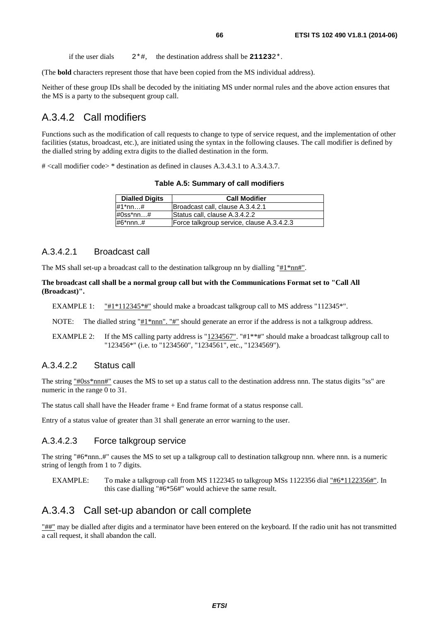if the user dials 2\*#, the destination address shall be **21123**2\*.

<span id="page-65-0"></span>(The **bold** characters represent those that have been copied from the MS individual address).

Neither of these group IDs shall be decoded by the initiating MS under normal rules and the above action ensures that the MS is a party to the subsequent group call.

### A.3.4.2 Call modifiers

Functions such as the modification of call requests to change to type of service request, and the implementation of other facilities (status, broadcast, etc.), are initiated using the syntax in the following clauses. The call modifier is defined by the dialled string by adding extra digits to the dialled destination in the form.

# <call modifier code> \* destination as defined in clauses A.3.4.3.1 to A.3.4.3.7.

**Table A.5: Summary of call modifiers** 

| <b>Dialled Digits</b> | <b>Call Modifier</b>                      |
|-----------------------|-------------------------------------------|
| #1*nn…#               | Broadcast call, clause A.3.4.2.1          |
| #0ss*nn…#             | Status call, clause A.3.4.2.2             |
| #6*nnn#               | Force talkgroup service, clause A.3.4.2.3 |

### A.3.4.2.1 Broadcast call

The MS shall set-up a broadcast call to the destination talkgroup nn by dialling " $#1*nn#$ ".

**The broadcast call shall be a normal group call but with the Communications Format set to "Call All (Broadcast)".** 

EXAMPLE 1: "#1\*112345\*#" should make a broadcast talkgroup call to MS address "112345\*".

NOTE: The dialled string " $\#1*\text{nnn}$ ". " $\#$ " should generate an error if the address is not a talkgroup address.

EXAMPLE 2: If the MS calling party address is "1234567". "#1\*\*#" should make a broadcast talkgroup call to "123456\*" (i.e. to "1234560", "1234561", etc., "1234569").

### A.3.4.2.2 Status call

The string "#0ss\*nnn#" causes the MS to set up a status call to the destination address nnn. The status digits "ss" are numeric in the range 0 to 31.

The status call shall have the Header frame + End frame format of a status response call.

Entry of a status value of greater than 31 shall generate an error warning to the user.

### A.3.4.2.3 Force talkgroup service

The string "#6\*nnn..#" causes the MS to set up a talkgroup call to destination talkgroup nnn. where nnn. is a numeric string of length from 1 to 7 digits.

EXAMPLE: To make a talkgroup call from MS 1122345 to talkgroup MSs 1122356 dial "#6\*1122356#". In this case dialling "#6\*56#" would achieve the same result.

### A.3.4.3 Call set-up abandon or call complete

"\##" may be dialled after digits and a terminator have been entered on the keyboard. If the radio unit has not transmitted a call request, it shall abandon the call.